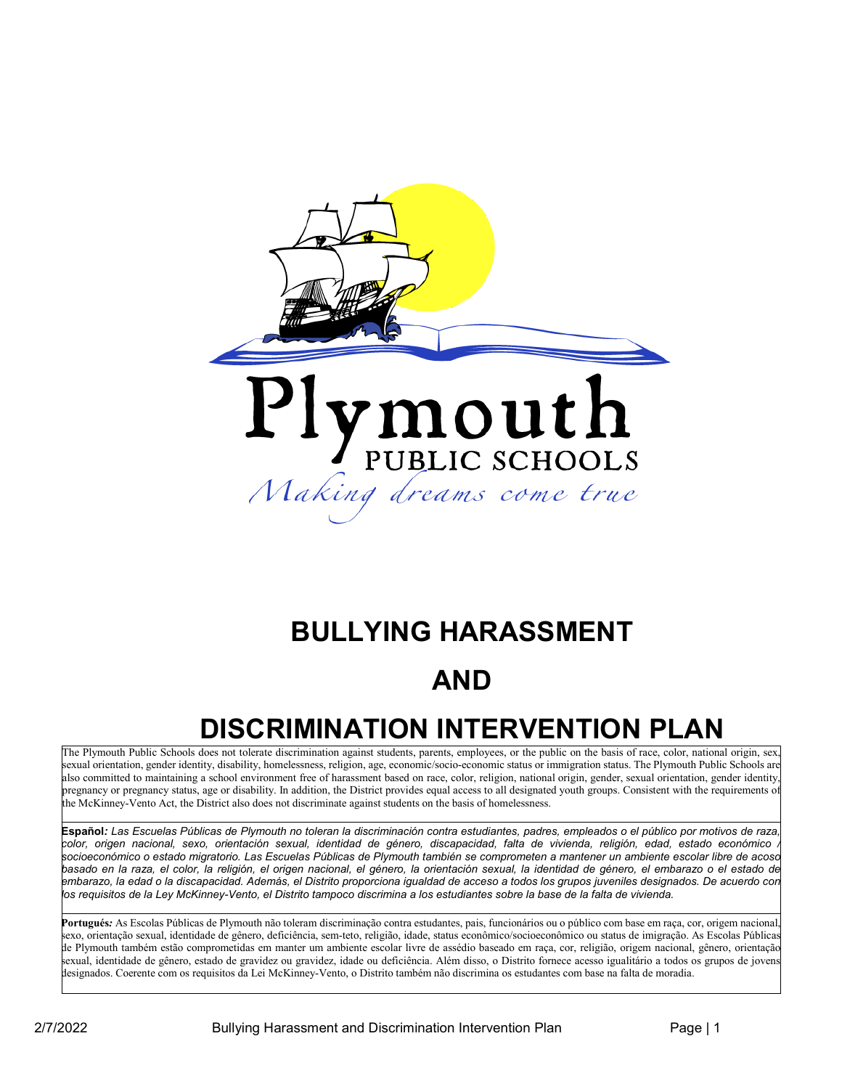

# **BULLYING HARASSMENT**

## **AND**

# **DISCRIMINATION INTERVENTION PLAN**

The Plymouth Public Schools does not tolerate discrimination against students, parents, employees, or the public on the basis of race, color, national origin, sex, sexual orientation, gender identity, disability, homelessness, religion, age, economic/socio-economic status or immigration status. The Plymouth Public Schools are also committed to maintaining a school environment free of harassment based on race, color, religion, national origin, gender, sexual orientation, gender identity, pregnancy or pregnancy status, age or disability. In addition, the District provides equal access to all designated youth groups. Consistent with the requirements of the McKinney-Vento Act, the District also does not discriminate against students on the basis of homelessness.

**Español***: Las Escuelas Públicas de Plymouth no toleran la discriminación contra estudiantes, padres, empleados o el público por motivos de raza, color, origen nacional, sexo, orientación sexual, identidad de género, discapacidad, falta de vivienda, religión, edad, estado económico / socioeconómico o estado migratorio. Las Escuelas Públicas de Plymouth también se comprometen a mantener un ambiente escolar libre de acoso basado en la raza, el color, la religión, el origen nacional, el género, la orientación sexual, la identidad de género, el embarazo o el estado de embarazo, la edad o la discapacidad. Además, el Distrito proporciona igualdad de acceso a todos los grupos juveniles designados. De acuerdo con los requisitos de la Ley McKinney-Vento, el Distrito tampoco discrimina a los estudiantes sobre la base de la falta de vivienda.*

**Portugués***:* As Escolas Públicas de Plymouth não toleram discriminação contra estudantes, pais, funcionários ou o público com base em raça, cor, origem nacional, sexo, orientação sexual, identidade de gênero, deficiência, sem-teto, religião, idade, status econômico/socioeconômico ou status de imigração. As Escolas Públicas de Plymouth também estão comprometidas em manter um ambiente escolar livre de assédio baseado em raça, cor, religião, origem nacional, gênero, orientação sexual, identidade de gênero, estado de gravidez ou gravidez, idade ou deficiência. Além disso, o Distrito fornece acesso igualitário a todos os grupos de jovens designados. Coerente com os requisitos da Lei McKinney-Vento, o Distrito também não discrimina os estudantes com base na falta de moradia.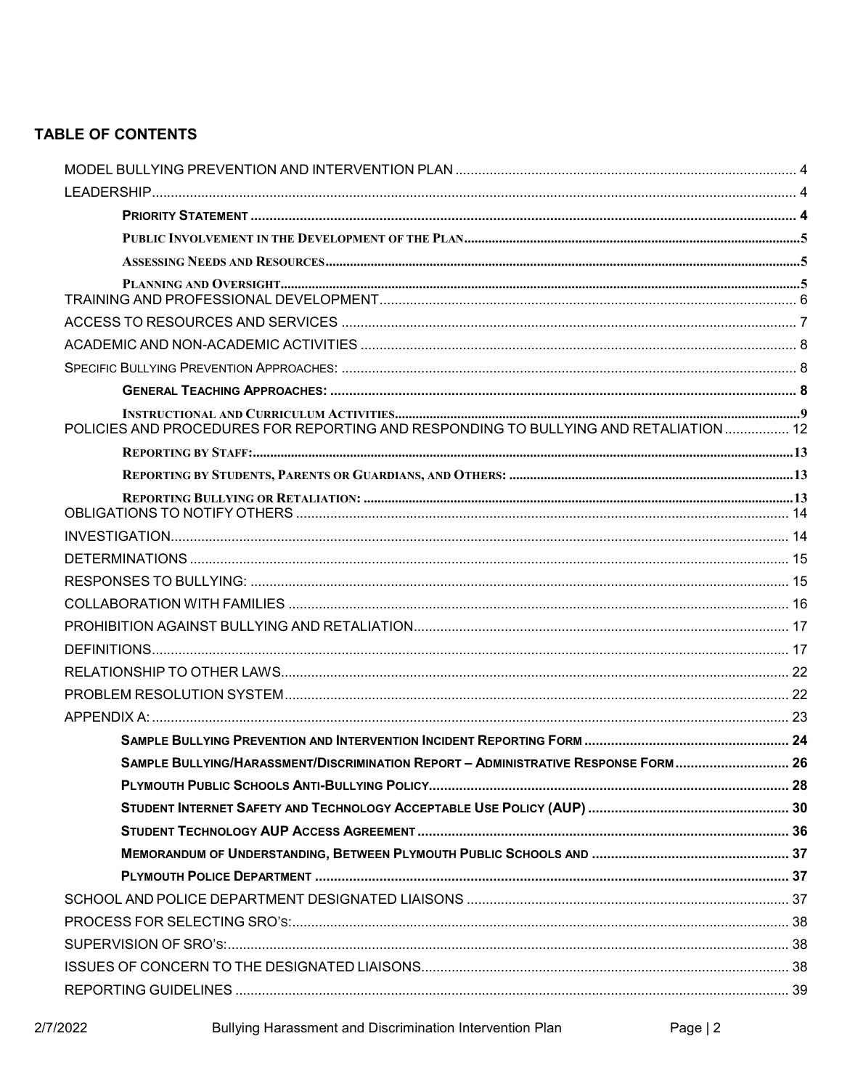### TABLE OF CONTENTS

| POLICIES AND PROCEDURES FOR REPORTING AND RESPONDING TO BULLYING AND RETALIATION  12 |  |
|--------------------------------------------------------------------------------------|--|
|                                                                                      |  |
|                                                                                      |  |
|                                                                                      |  |
|                                                                                      |  |
|                                                                                      |  |
|                                                                                      |  |
|                                                                                      |  |
|                                                                                      |  |
|                                                                                      |  |
|                                                                                      |  |
|                                                                                      |  |
|                                                                                      |  |
|                                                                                      |  |
| SAMPLE BULLYING/HARASSMENT/DISCRIMINATION REPORT - ADMINISTRATIVE RESPONSE FORM  26  |  |
|                                                                                      |  |
|                                                                                      |  |
|                                                                                      |  |
|                                                                                      |  |
|                                                                                      |  |
|                                                                                      |  |
|                                                                                      |  |
|                                                                                      |  |
|                                                                                      |  |
|                                                                                      |  |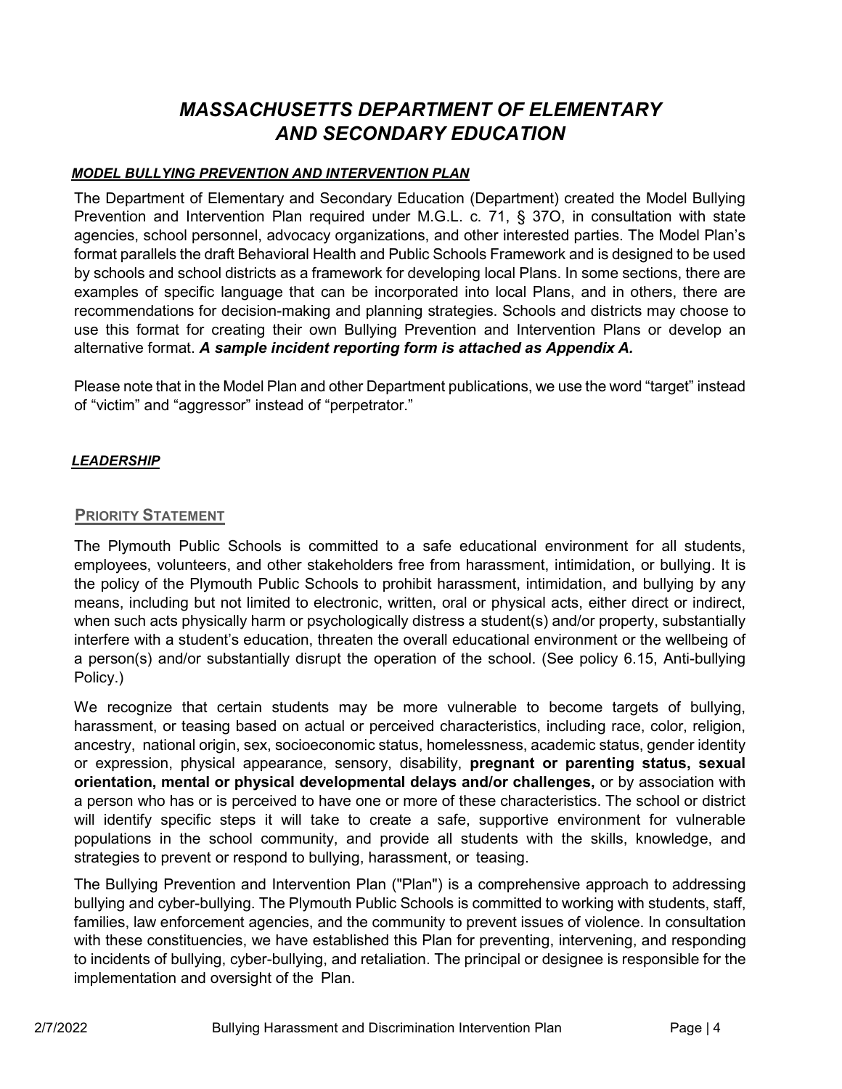### *MASSACHUSETTS DEPARTMENT OF ELEMENTARY AND SECONDARY EDUCATION*

#### <span id="page-3-0"></span>*MODEL BULLYING PREVENTION AND INTERVENTION PLAN*

The Department of Elementary and Secondary Education (Department) created the Model Bullying Prevention and Intervention Plan required under M.G.L. c. 71, § 37O, in consultation with state agencies, school personnel, advocacy organizations, and other interested parties. The Model Plan's format parallels the draft Behavioral Health and Public Schools Framework and is designed to be used by schools and school districts as a framework for developing local Plans. In some sections, there are examples of specific language that can be incorporated into local Plans, and in others, there are recommendations for decision-making and planning strategies. Schools and districts may choose to use this format for creating their own Bullying Prevention and Intervention Plans or develop an alternative format. *A sample incident reporting form is attached as Appendix A.*

Please note that in the Model Plan and other Department publications, we use the word "target" instead of "victim" and "aggressor" instead of "perpetrator."

#### <span id="page-3-1"></span>*LEADERSHIP*

#### <span id="page-3-2"></span>**PRIORITY STATEMENT**

The Plymouth Public Schools is committed to a safe educational environment for all students, employees, volunteers, and other stakeholders free from harassment, intimidation, or bullying. It is the policy of the Plymouth Public Schools to prohibit harassment, intimidation, and bullying by any means, including but not limited to electronic, written, oral or physical acts, either direct or indirect, when such acts physically harm or psychologically distress a student(s) and/or property, substantially interfere with a student's education, threaten the overall educational environment or the wellbeing of a person(s) and/or substantially disrupt the operation of the school. (See policy 6.15, Anti-bullying Policy.)

We recognize that certain students may be more vulnerable to become targets of bullying, harassment, or teasing based on actual or perceived characteristics, including race, color, religion, ancestry, national origin, sex, socioeconomic status, homelessness, academic status, gender identity or expression, physical appearance, sensory, disability, **pregnant or parenting status, sexual orientation, mental or physical developmental delays and/or challenges,** or by association with a person who has or is perceived to have one or more of these characteristics. The school or district will identify specific steps it will take to create a safe, supportive environment for vulnerable populations in the school community, and provide all students with the skills, knowledge, and strategies to prevent or respond to bullying, harassment, or teasing.

The Bullying Prevention and Intervention Plan ("Plan") is a comprehensive approach to addressing bullying and cyber-bullying. The Plymouth Public Schools is committed to working with students, staff, families, law enforcement agencies, and the community to prevent issues of violence. In consultation with these constituencies, we have established this Plan for preventing, intervening, and responding to incidents of bullying, cyber-bullying, and retaliation. The principal or designee is responsible for the implementation and oversight of the Plan.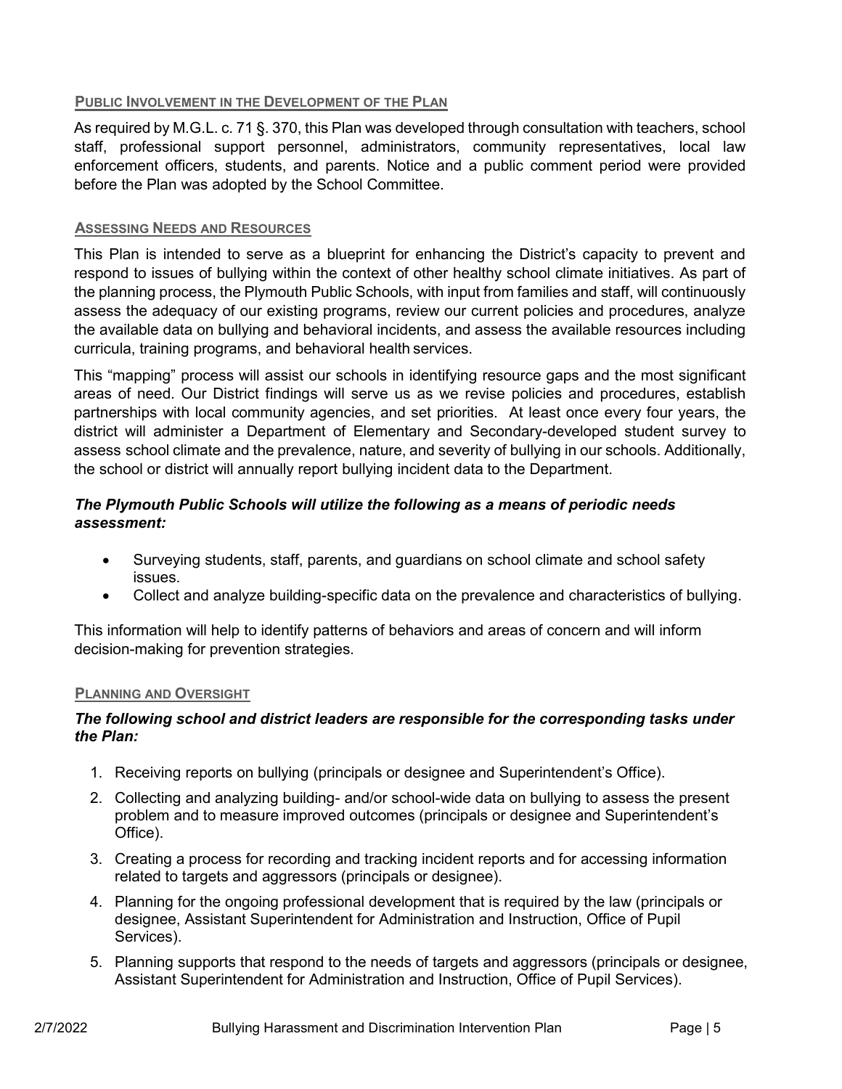#### <span id="page-4-0"></span>**PUBLIC INVOLVEMENT IN THE DEVELOPMENT OF THE PLAN**

As required by M.G.L. c. 71 §. 370, this Plan was developed through consultation with teachers, school staff, professional support personnel, administrators, community representatives, local law enforcement officers, students, and parents. Notice and a public comment period were provided before the Plan was adopted by the School Committee.

#### <span id="page-4-1"></span>**ASSESSING NEEDS AND RESOURCES**

This Plan is intended to serve as a blueprint for enhancing the District's capacity to prevent and respond to issues of bullying within the context of other healthy school climate initiatives. As part of the planning process, the Plymouth Public Schools, with input from families and staff, will continuously assess the adequacy of our existing programs, review our current policies and procedures, analyze the available data on bullying and behavioral incidents, and assess the available resources including curricula, training programs, and behavioral health services.

This "mapping" process will assist our schools in identifying resource gaps and the most significant areas of need. Our District findings will serve us as we revise policies and procedures, establish partnerships with local community agencies, and set priorities. At least once every four years, the district will administer a Department of Elementary and Secondary-developed student survey to assess school climate and the prevalence, nature, and severity of bullying in our schools. Additionally, the school or district will annually report bullying incident data to the Department.

#### *The Plymouth Public Schools will utilize the following as a means of periodic needs assessment:*

- Surveying students, staff, parents, and guardians on school climate and school safety issues.
- Collect and analyze building-specific data on the prevalence and characteristics of bullying.

This information will help to identify patterns of behaviors and areas of concern and will inform decision-making for prevention strategies.

#### <span id="page-4-2"></span>**PLANNING AND OVERSIGHT**

#### *The following school and district leaders are responsible for the corresponding tasks under the Plan:*

- 1. Receiving reports on bullying (principals or designee and Superintendent's Office).
- 2. Collecting and analyzing building- and/or school-wide data on bullying to assess the present problem and to measure improved outcomes (principals or designee and Superintendent's Office).
- 3. Creating a process for recording and tracking incident reports and for accessing information related to targets and aggressors (principals or designee).
- 4. Planning for the ongoing professional development that is required by the law (principals or designee, Assistant Superintendent for Administration and Instruction, Office of Pupil Services).
- 5. Planning supports that respond to the needs of targets and aggressors (principals or designee, Assistant Superintendent for Administration and Instruction, Office of Pupil Services).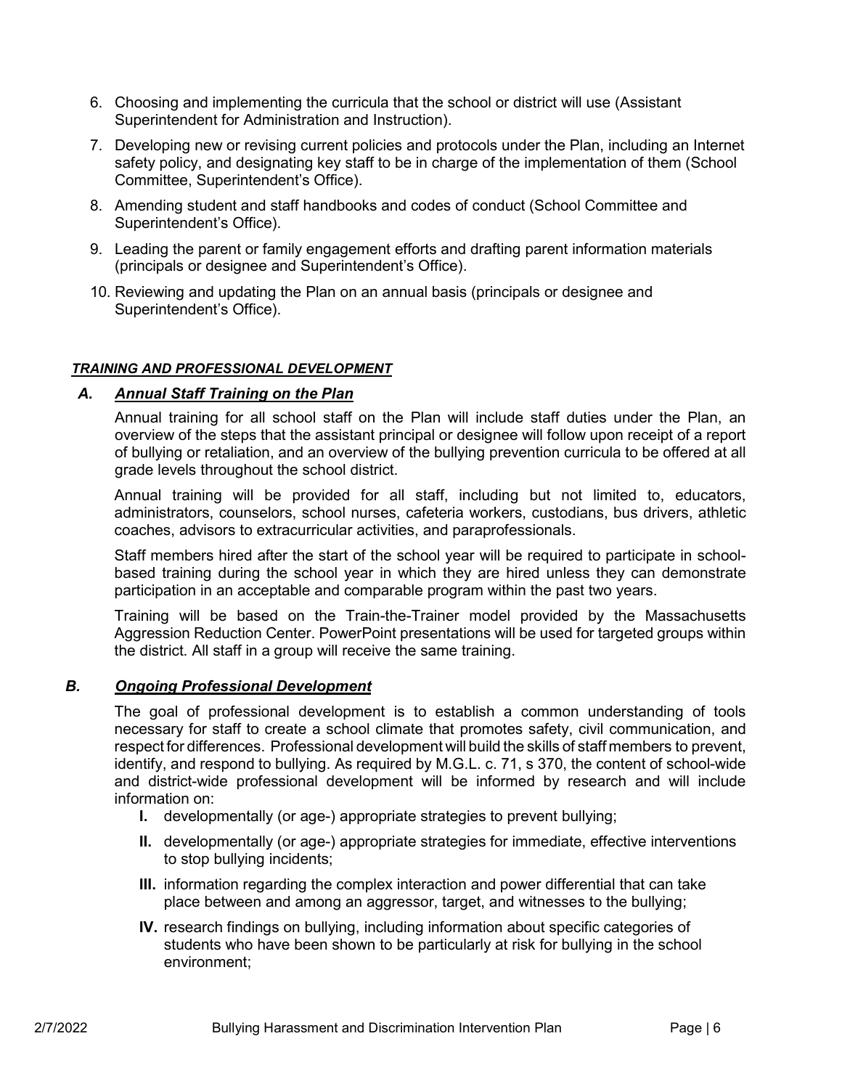- 6. Choosing and implementing the curricula that the school or district will use (Assistant Superintendent for Administration and Instruction).
- 7. Developing new or revising current policies and protocols under the Plan, including an Internet safety policy, and designating key staff to be in charge of the implementation of them (School Committee, Superintendent's Office).
- 8. Amending student and staff handbooks and codes of conduct (School Committee and Superintendent's Office).
- 9. Leading the parent or family engagement efforts and drafting parent information materials (principals or designee and Superintendent's Office).
- 10. Reviewing and updating the Plan on an annual basis (principals or designee and Superintendent's Office).

#### <span id="page-5-0"></span>*TRAINING AND PROFESSIONAL DEVELOPMENT*

#### *A. Annual Staff Training on the Plan*

Annual training for all school staff on the Plan will include staff duties under the Plan, an overview of the steps that the assistant principal or designee will follow upon receipt of a report of bullying or retaliation, and an overview of the bullying prevention curricula to be offered at all grade levels throughout the school district.

Annual training will be provided for all staff, including but not limited to, educators, administrators, counselors, school nurses, cafeteria workers, custodians, bus drivers, athletic coaches, advisors to extracurricular activities, and paraprofessionals.

Staff members hired after the start of the school year will be required to participate in schoolbased training during the school year in which they are hired unless they can demonstrate participation in an acceptable and comparable program within the past two years.

Training will be based on the Train-the-Trainer model provided by the Massachusetts Aggression Reduction Center. PowerPoint presentations will be used for targeted groups within the district. All staff in a group will receive the same training.

#### *B. Ongoing Professional Development*

The goal of professional development is to establish a common understanding of tools necessary for staff to create a school climate that promotes safety, civil communication, and respect for differences. Professional development will build the skills of staff members to prevent, identify, and respond to bullying. As required by M.G.L. c. 71, s 370, the content of school-wide and district-wide professional development will be informed by research and will include information on:

- **I.** developmentally (or age-) appropriate strategies to prevent bullying;
- **II.** developmentally (or age-) appropriate strategies for immediate, effective interventions to stop bullying incidents;
- **III.** information regarding the complex interaction and power differential that can take place between and among an aggressor, target, and witnesses to the bullying;
- **IV.** research findings on bullying, including information about specific categories of students who have been shown to be particularly at risk for bullying in the school environment;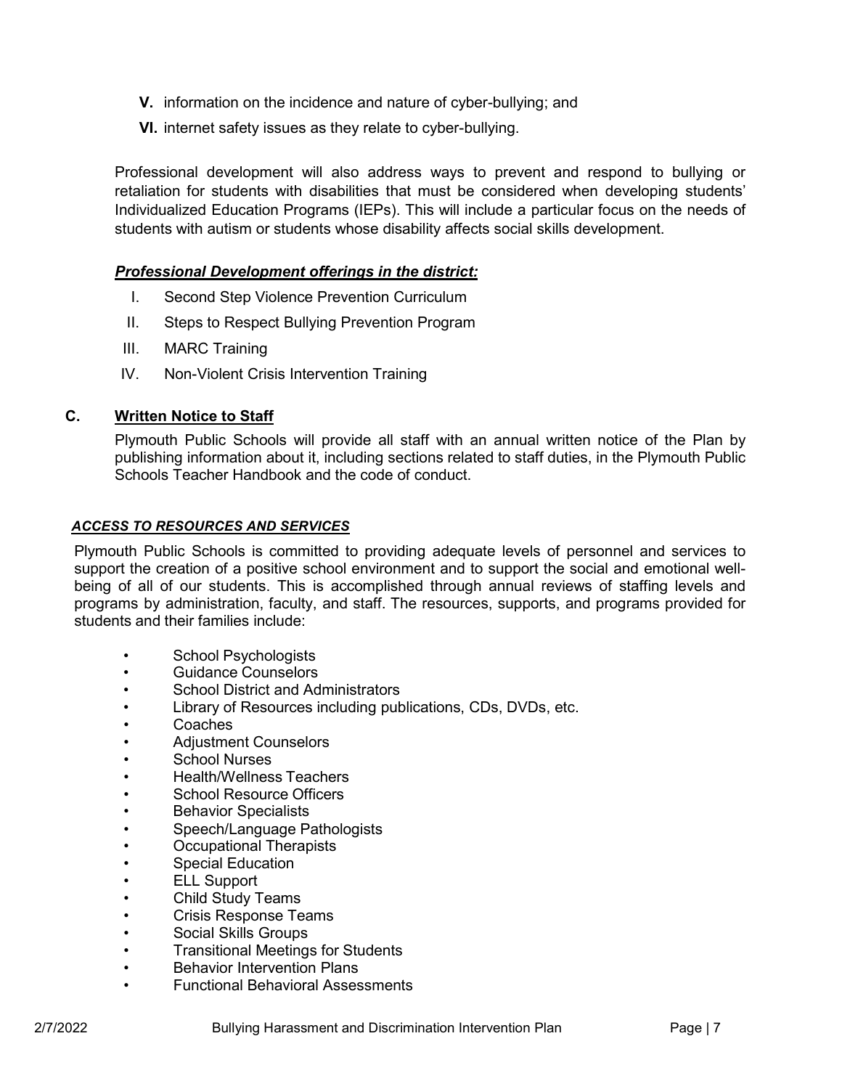- **V.** information on the incidence and nature of cyber-bullying; and
- **VI.** internet safety issues as they relate to cyber-bullying.

Professional development will also address ways to prevent and respond to bullying or retaliation for students with disabilities that must be considered when developing students' Individualized Education Programs (IEPs). This will include a particular focus on the needs of students with autism or students whose disability affects social skills development.

#### *Professional Development offerings in the district:*

- I. Second Step Violence Prevention Curriculum
- II. Steps to Respect Bullying Prevention Program
- III. MARC Training
- IV. Non-Violent Crisis Intervention Training

#### **C. Written Notice to Staff**

Plymouth Public Schools will provide all staff with an annual written notice of the Plan by publishing information about it, including sections related to staff duties, in the Plymouth Public Schools Teacher Handbook and the code of conduct.

#### <span id="page-6-0"></span>*ACCESS TO RESOURCES AND SERVICES*

Plymouth Public Schools is committed to providing adequate levels of personnel and services to support the creation of a positive school environment and to support the social and emotional wellbeing of all of our students. This is accomplished through annual reviews of staffing levels and programs by administration, faculty, and staff. The resources, supports, and programs provided for students and their families include:

- School Psychologists
- Guidance Counselors
- School District and Administrators
- Library of Resources including publications, CDs, DVDs, etc.
- Coaches
- Adjustment Counselors
- School Nurses
- Health/Wellness Teachers
- School Resource Officers
- Behavior Specialists
- Speech/Language Pathologists
- Occupational Therapists
- Special Education
- ELL Support
- Child Study Teams
- Crisis Response Teams
- Social Skills Groups
- Transitional Meetings for Students
- Behavior Intervention Plans
- Functional Behavioral Assessments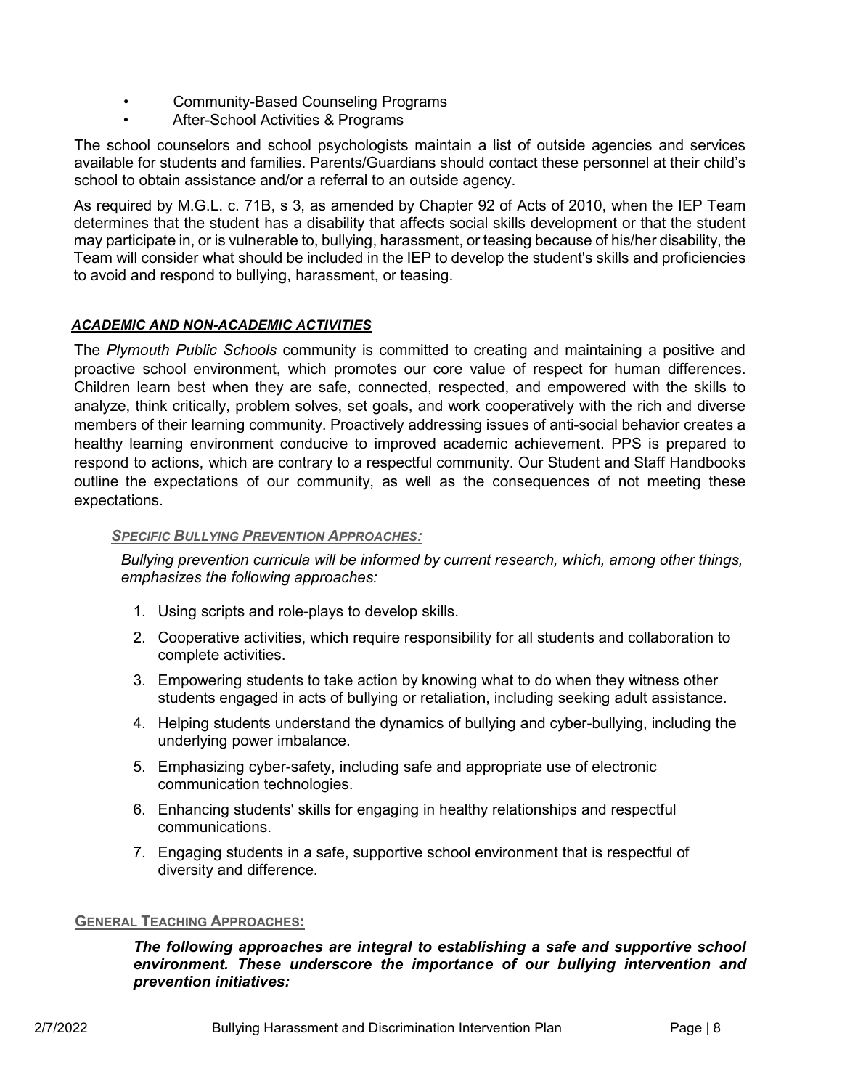- Community-Based Counseling Programs
- After-School Activities & Programs

The school counselors and school psychologists maintain a list of outside agencies and services available for students and families. Parents/Guardians should contact these personnel at their child's school to obtain assistance and/or a referral to an outside agency.

As required by M.G.L. c. 71B, s 3, as amended by Chapter 92 of Acts of 2010, when the IEP Team determines that the student has a disability that affects social skills development or that the student may participate in, or is vulnerable to, bullying, harassment, or teasing because of his/her disability, the Team will consider what should be included in the IEP to develop the student's skills and proficiencies to avoid and respond to bullying, harassment, or teasing.

#### <span id="page-7-0"></span>*ACADEMIC AND NON-ACADEMIC ACTIVITIES*

The *Plymouth Public Schools* community is committed to creating and maintaining a positive and proactive school environment, which promotes our core value of respect for human differences. Children learn best when they are safe, connected, respected, and empowered with the skills to analyze, think critically, problem solves, set goals, and work cooperatively with the rich and diverse members of their learning community. Proactively addressing issues of anti-social behavior creates a healthy learning environment conducive to improved academic achievement. PPS is prepared to respond to actions, which are contrary to a respectful community. Our Student and Staff Handbooks outline the expectations of our community, as well as the consequences of not meeting these expectations.

#### <span id="page-7-1"></span>*SPECIFIC BULLYING PREVENTION APPROACHES:*

*Bullying prevention curricula will be informed by current research, which, among other things, emphasizes the following approaches:*

- 1. Using scripts and role-plays to develop skills.
- 2. Cooperative activities, which require responsibility for all students and collaboration to complete activities.
- 3. Empowering students to take action by knowing what to do when they witness other students engaged in acts of bullying or retaliation, including seeking adult assistance.
- 4. Helping students understand the dynamics of bullying and cyber-bullying, including the underlying power imbalance.
- 5. Emphasizing cyber-safety, including safe and appropriate use of electronic communication technologies.
- 6. Enhancing students' skills for engaging in healthy relationships and respectful communications.
- 7. Engaging students in a safe, supportive school environment that is respectful of diversity and difference.

#### <span id="page-7-2"></span>**GENERAL TEACHING APPROACHES:**

*The following approaches are integral to establishing a safe and supportive school environment. These underscore the importance of our bullying intervention and prevention initiatives:*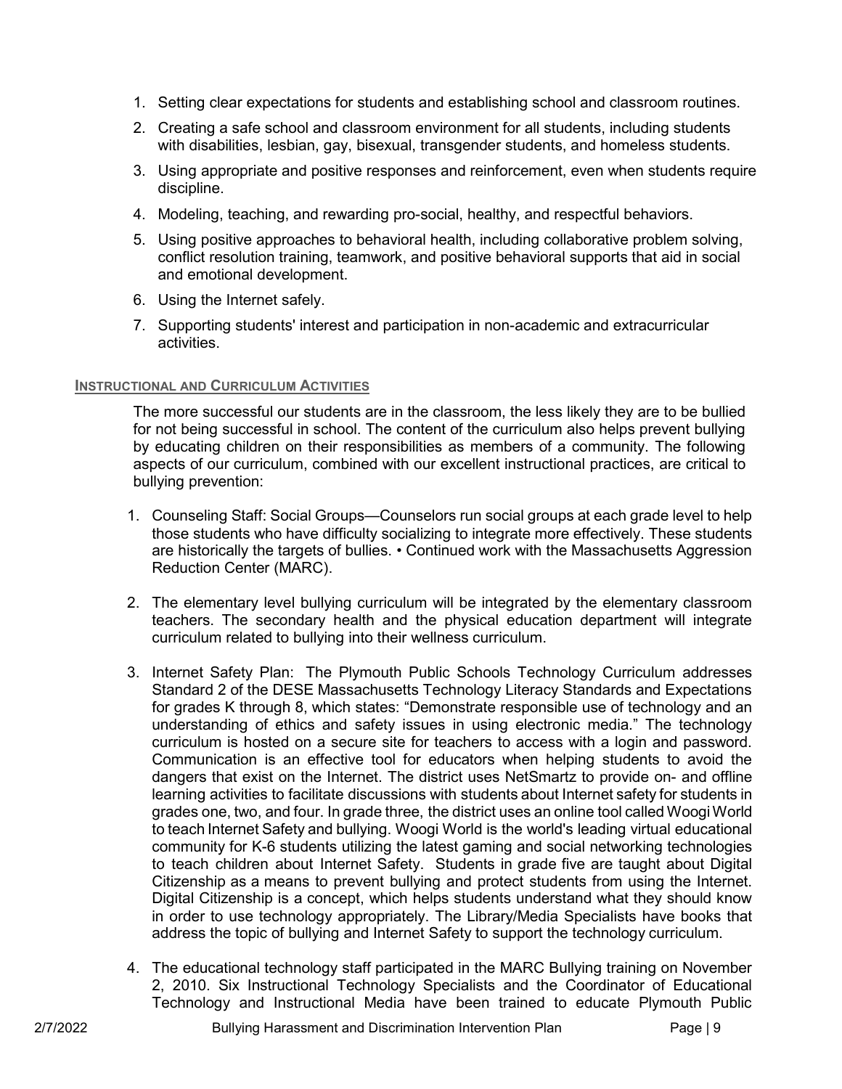- 1. Setting clear expectations for students and establishing school and classroom routines.
- 2. Creating a safe school and classroom environment for all students, including students with disabilities, lesbian, gay, bisexual, transgender students, and homeless students.
- 3. Using appropriate and positive responses and reinforcement, even when students require discipline.
- 4. Modeling, teaching, and rewarding pro-social, healthy, and respectful behaviors.
- 5. Using positive approaches to behavioral health, including collaborative problem solving, conflict resolution training, teamwork, and positive behavioral supports that aid in social and emotional development.
- 6. Using the Internet safely.
- 7. Supporting students' interest and participation in non-academic and extracurricular activities.

#### <span id="page-8-0"></span>**INSTRUCTIONAL AND CURRICULUM ACTIVITIES**

The more successful our students are in the classroom, the less likely they are to be bullied for not being successful in school. The content of the curriculum also helps prevent bullying by educating children on their responsibilities as members of a community. The following aspects of our curriculum, combined with our excellent instructional practices, are critical to bullying prevention:

- 1. Counseling Staff: Social Groups—Counselors run social groups at each grade level to help those students who have difficulty socializing to integrate more effectively. These students are historically the targets of bullies. • Continued work with the Massachusetts Aggression Reduction Center (MARC).
- 2. The elementary level bullying curriculum will be integrated by the elementary classroom teachers. The secondary health and the physical education department will integrate curriculum related to bullying into their wellness curriculum.
- 3. Internet Safety Plan: The Plymouth Public Schools Technology Curriculum addresses Standard 2 of the DESE Massachusetts Technology Literacy Standards and Expectations for grades K through 8, which states: "Demonstrate responsible use of technology and an understanding of ethics and safety issues in using electronic media." The technology curriculum is hosted on a secure site for teachers to access with a login and password. Communication is an effective tool for educators when helping students to avoid the dangers that exist on the Internet. The district uses NetSmartz to provide on- and offline learning activities to facilitate discussions with students about Internet safety for students in grades one, two, and four. In grade three, the district uses an online tool called WoogiWorld to teach Internet Safety and bullying. Woogi World is the world's leading virtual educational community for K-6 students utilizing the latest gaming and social networking technologies to teach children about Internet Safety. Students in grade five are taught about Digital Citizenship as a means to prevent bullying and protect students from using the Internet. Digital Citizenship is a concept, which helps students understand what they should know in order to use technology appropriately. The Library/Media Specialists have books that address the topic of bullying and Internet Safety to support the technology curriculum.
- 4. The educational technology staff participated in the MARC Bullying training on November 2, 2010. Six Instructional Technology Specialists and the Coordinator of Educational Technology and Instructional Media have been trained to educate Plymouth Public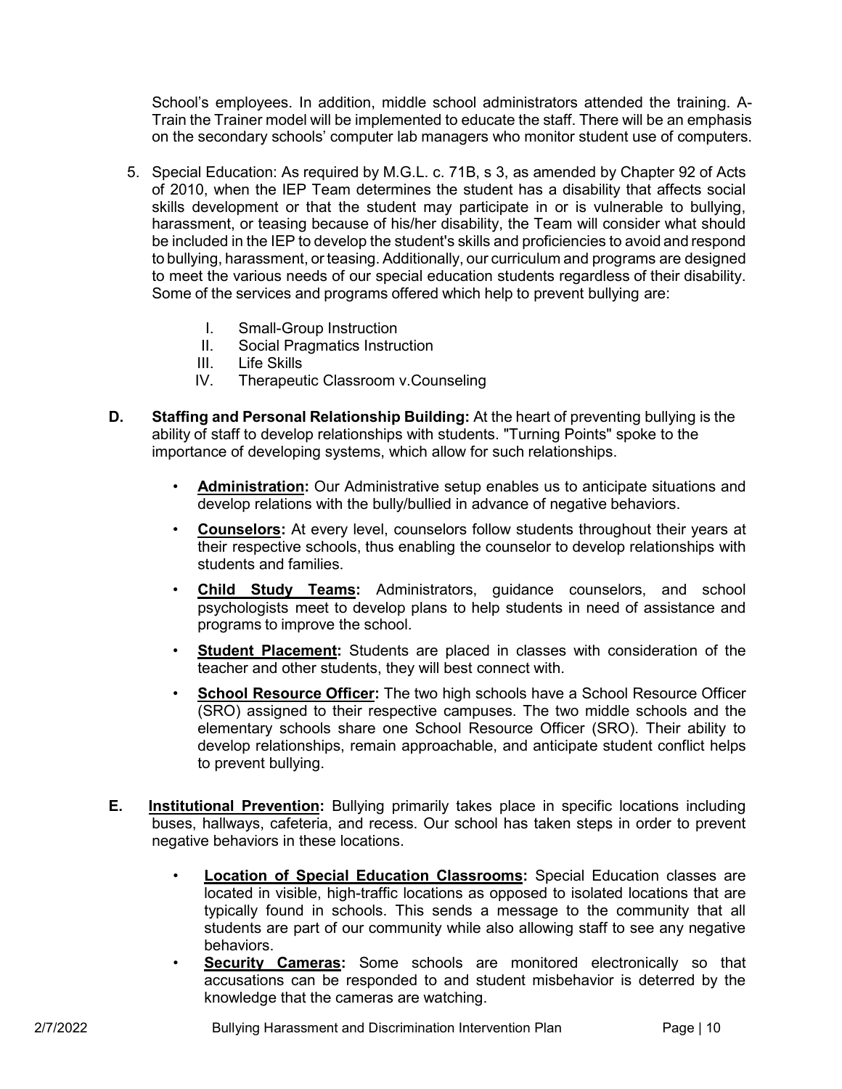School's employees. In addition, middle school administrators attended the training. A-Train the Trainer model will be implemented to educate the staff. There will be an emphasis on the secondary schools' computer lab managers who monitor student use of computers.

- 5. Special Education: As required by M.G.L. c. 71B, s 3, as amended by Chapter 92 of Acts of 2010, when the IEP Team determines the student has a disability that affects social skills development or that the student may participate in or is vulnerable to bullying, harassment, or teasing because of his/her disability, the Team will consider what should be included in the IEP to develop the student's skills and proficiencies to avoid and respond to bullying, harassment, or teasing. Additionally, our curriculum and programs are designed to meet the various needs of our special education students regardless of their disability. Some of the services and programs offered which help to prevent bullying are:
	- I. Small-Group Instruction
	- II. Social Pragmatics Instruction
	- III. Life Skills
	- IV. Therapeutic Classroom v.Counseling
- **D. Staffing and Personal Relationship Building:** At the heart of preventing bullying is the ability of staff to develop relationships with students. "Turning Points" spoke to the importance of developing systems, which allow for such relationships.
	- **Administration:** Our Administrative setup enables us to anticipate situations and develop relations with the bully/bullied in advance of negative behaviors.
	- **Counselors:** At every level, counselors follow students throughout their years at their respective schools, thus enabling the counselor to develop relationships with students and families.
	- **Child Study Teams:** Administrators, guidance counselors, and school psychologists meet to develop plans to help students in need of assistance and programs to improve the school.
	- **Student Placement:** Students are placed in classes with consideration of the teacher and other students, they will best connect with.
	- **School Resource Officer:** The two high schools have a School Resource Officer (SRO) assigned to their respective campuses. The two middle schools and the elementary schools share one School Resource Officer (SRO). Their ability to develop relationships, remain approachable, and anticipate student conflict helps to prevent bullying.
- **E. Institutional Prevention:** Bullying primarily takes place in specific locations including buses, hallways, cafeteria, and recess. Our school has taken steps in order to prevent negative behaviors in these locations.
	- **Location of Special Education Classrooms:** Special Education classes are located in visible, high-traffic locations as opposed to isolated locations that are typically found in schools. This sends a message to the community that all students are part of our community while also allowing staff to see any negative behaviors.
	- **Security Cameras:** Some schools are monitored electronically so that accusations can be responded to and student misbehavior is deterred by the knowledge that the cameras are watching.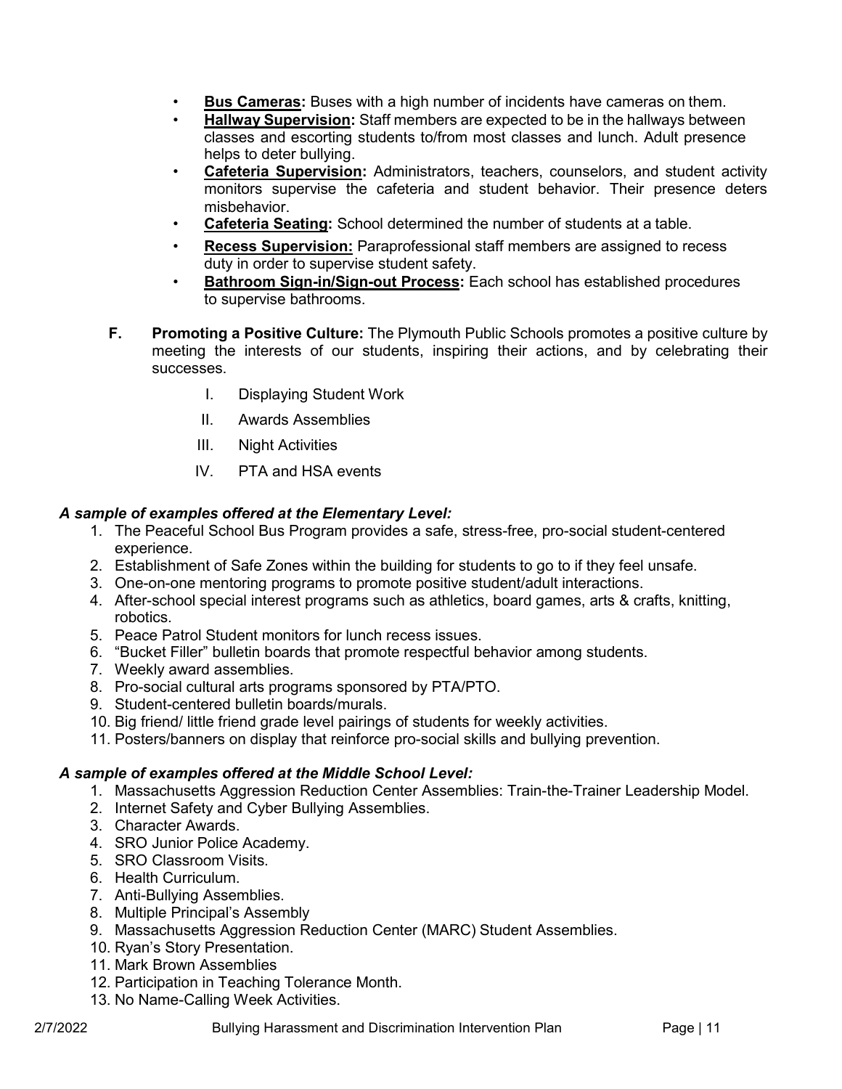- **Bus Cameras:** Buses with a high number of incidents have cameras on them.
- **Hallway Supervision:** Staff members are expected to be in the hallways between classes and escorting students to/from most classes and lunch. Adult presence helps to deter bullying.
- **Cafeteria Supervision:** Administrators, teachers, counselors, and student activity monitors supervise the cafeteria and student behavior. Their presence deters misbehavior.
- **Cafeteria Seating:** School determined the number of students at a table.
- **Recess Supervision:** Paraprofessional staff members are assigned to recess duty in order to supervise student safety.
- **Bathroom Sign-in/Sign-out Process:** Each school has established procedures to supervise bathrooms.
- **F. Promoting a Positive Culture:** The Plymouth Public Schools promotes a positive culture by meeting the interests of our students, inspiring their actions, and by celebrating their successes.
	- I. Displaying Student Work
	- II. Awards Assemblies
	- III. Night Activities
	- IV. PTA and HSA events

#### *A sample of examples offered at the Elementary Level:*

- 1. The Peaceful School Bus Program provides a safe, stress-free, pro-social student-centered experience.
- 2. Establishment of Safe Zones within the building for students to go to if they feel unsafe.
- 3. One-on-one mentoring programs to promote positive student/adult interactions.
- 4. After-school special interest programs such as athletics, board games, arts & crafts, knitting, robotics.
- 5. Peace Patrol Student monitors for lunch recess issues.
- 6. "Bucket Filler" bulletin boards that promote respectful behavior among students.
- 7. Weekly award assemblies.
- 8. Pro-social cultural arts programs sponsored by PTA/PTO.
- 9. Student-centered bulletin boards/murals.
- 10. Big friend/ little friend grade level pairings of students for weekly activities.
- 11. Posters/banners on display that reinforce pro-social skills and bullying prevention.

#### *A sample of examples offered at the Middle School Level:*

- 1. Massachusetts Aggression Reduction Center Assemblies: Train-the-Trainer Leadership Model.
- 2. Internet Safety and Cyber Bullying Assemblies.
- 3. Character Awards.
- 4. SRO Junior Police Academy.
- 5. SRO Classroom Visits.
- 6. Health Curriculum.
- 7. Anti-Bullying Assemblies.
- 8. Multiple Principal's Assembly
- 9. Massachusetts Aggression Reduction Center (MARC) Student Assemblies.
- 10. Ryan's Story Presentation.
- 11. Mark Brown Assemblies
- 12. Participation in Teaching Tolerance Month.
- 13. No Name-Calling Week Activities.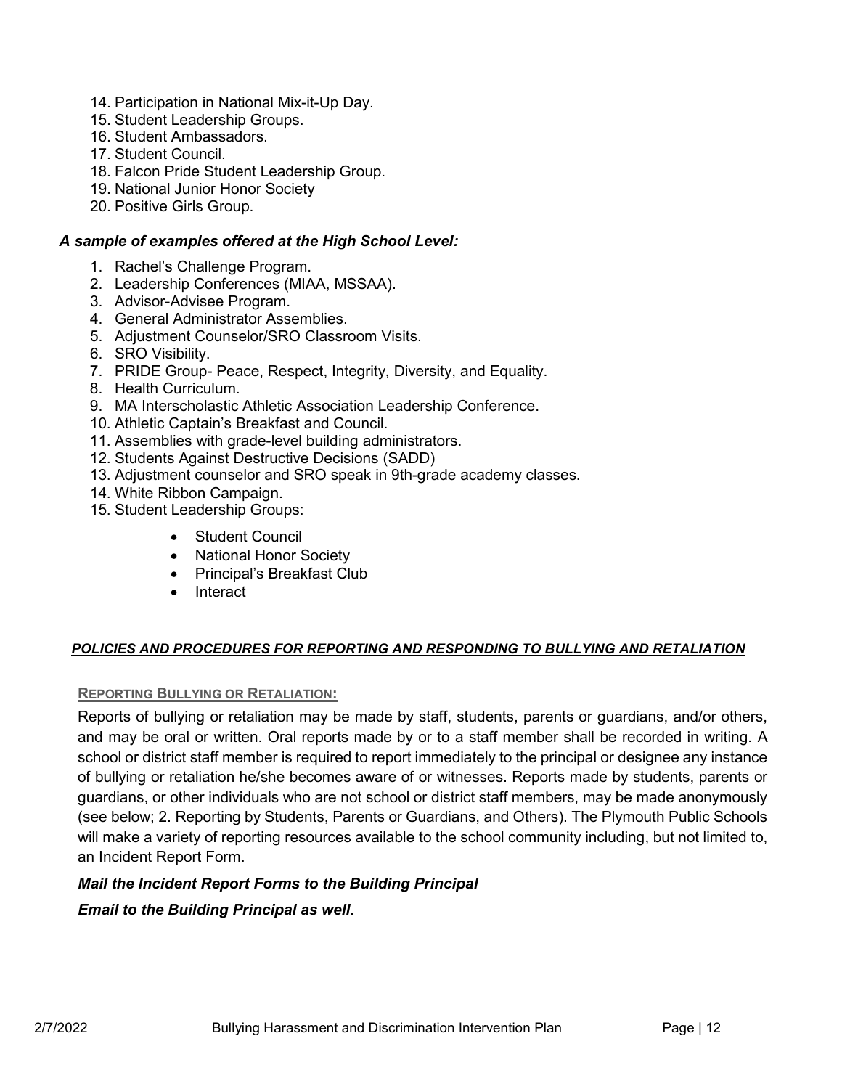- 14. Participation in National Mix-it-Up Day.
- 15. Student Leadership Groups.
- 16. Student Ambassadors.
- 17. Student Council.
- 18. Falcon Pride Student Leadership Group.
- 19. National Junior Honor Society
- 20. Positive Girls Group.

#### *A sample of examples offered at the High School Level:*

- 1. Rachel's Challenge Program.
- 2. Leadership Conferences (MIAA, MSSAA).
- 3. Advisor-Advisee Program.
- 4. General Administrator Assemblies.
- 5. Adjustment Counselor/SRO Classroom Visits.
- 6. SRO Visibility.
- 7. PRIDE Group- Peace, Respect, Integrity, Diversity, and Equality.
- 8. Health Curriculum.
- 9. MA Interscholastic Athletic Association Leadership Conference.
- 10. Athletic Captain's Breakfast and Council.
- 11. Assemblies with grade-level building administrators.
- 12. Students Against Destructive Decisions (SADD)
- 13. Adjustment counselor and SRO speak in 9th-grade academy classes.
- 14. White Ribbon Campaign.
- 15. Student Leadership Groups:
	- Student Council
	- National Honor Society
	- Principal's Breakfast Club
	- Interact

#### <span id="page-11-0"></span>*POLICIES AND PROCEDURES FOR REPORTING AND RESPONDING TO BULLYING AND RETALIATION*

#### **REPORTING BULLYING OR RETALIATION:**

Reports of bullying or retaliation may be made by staff, students, parents or guardians, and/or others, and may be oral or written. Oral reports made by or to a staff member shall be recorded in writing. A school or district staff member is required to report immediately to the principal or designee any instance of bullying or retaliation he/she becomes aware of or witnesses. Reports made by students, parents or guardians, or other individuals who are not school or district staff members, may be made anonymously (see below; 2. Reporting by Students, Parents or Guardians, and Others). The Plymouth Public Schools will make a variety of reporting resources available to the school community including, but not limited to, an Incident Report Form.

#### *Mail the Incident Report Forms to the Building Principal*

#### *Email to the Building Principal as well.*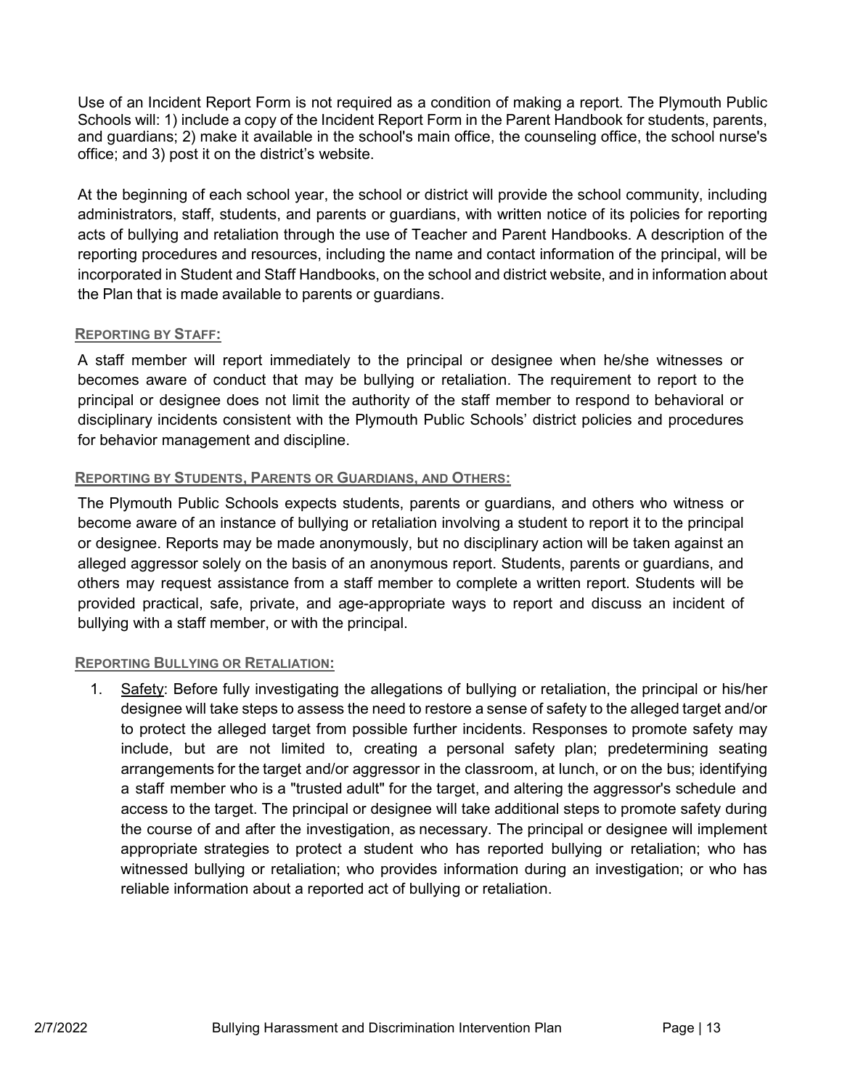Use of an Incident Report Form is not required as a condition of making a report. The Plymouth Public Schools will: 1) include a copy of the Incident Report Form in the Parent Handbook for students, parents, and guardians; 2) make it available in the school's main office, the counseling office, the school nurse's office; and 3) post it on the district's website.

At the beginning of each school year, the school or district will provide the school community, including administrators, staff, students, and parents or guardians, with written notice of its policies for reporting acts of bullying and retaliation through the use of Teacher and Parent Handbooks. A description of the reporting procedures and resources, including the name and contact information of the principal, will be incorporated in Student and Staff Handbooks, on the school and district website, and in information about the Plan that is made available to parents or guardians.

#### <span id="page-12-0"></span>**REPORTING BY STAFF:**

A staff member will report immediately to the principal or designee when he/she witnesses or becomes aware of conduct that may be bullying or retaliation. The requirement to report to the principal or designee does not limit the authority of the staff member to respond to behavioral or disciplinary incidents consistent with the Plymouth Public Schools' district policies and procedures for behavior management and discipline.

#### <span id="page-12-1"></span>**REPORTING BY STUDENTS, PARENTS OR GUARDIANS, AND OTHERS:**

The Plymouth Public Schools expects students, parents or guardians, and others who witness or become aware of an instance of bullying or retaliation involving a student to report it to the principal or designee. Reports may be made anonymously, but no disciplinary action will be taken against an alleged aggressor solely on the basis of an anonymous report. Students, parents or guardians, and others may request assistance from a staff member to complete a written report. Students will be provided practical, safe, private, and age-appropriate ways to report and discuss an incident of bullying with a staff member, or with the principal.

#### <span id="page-12-2"></span>**REPORTING BULLYING OR RETALIATION:**

1. Safety: Before fully investigating the allegations of bullying or retaliation, the principal or his/her designee will take steps to assess the need to restore a sense of safety to the alleged target and/or to protect the alleged target from possible further incidents. Responses to promote safety may include, but are not limited to, creating a personal safety plan; predetermining seating arrangements for the target and/or aggressor in the classroom, at lunch, or on the bus; identifying a staff member who is a "trusted adult" for the target, and altering the aggressor's schedule and access to the target. The principal or designee will take additional steps to promote safety during the course of and after the investigation, as necessary. The principal or designee will implement appropriate strategies to protect a student who has reported bullying or retaliation; who has witnessed bullying or retaliation; who provides information during an investigation; or who has reliable information about a reported act of bullying or retaliation.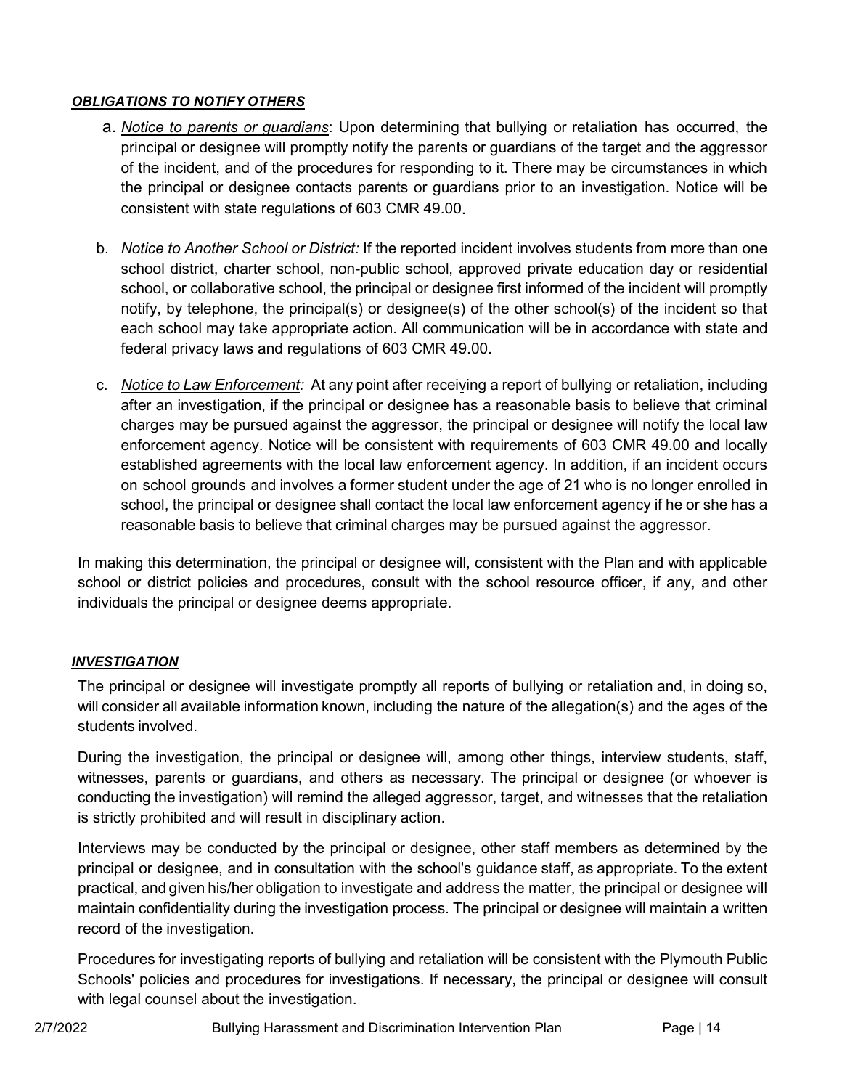#### <span id="page-13-0"></span>*OBLIGATIONS TO NOTIFY OTHERS*

- a. *Notice to parents or guardians*: Upon determining that bullying or retaliation has occurred, the principal or designee will promptly notify the parents or guardians of the target and the aggressor of the incident, and of the procedures for responding to it. There may be circumstances in which the principal or designee contacts parents or guardians prior to an investigation. Notice will be consistent with state regulations of 603 CMR 49.00.
- b. *Notice to Another School or District:* If the reported incident involves students from more than one school district, charter school, non-public school, approved private education day or residential school, or collaborative school, the principal or designee first informed of the incident will promptly notify, by telephone, the principal(s) or designee(s) of the other school(s) of the incident so that each school may take appropriate action. All communication will be in accordance with state and federal privacy laws and regulations of 603 CMR 49.00.
- c. *Notice to Law Enforcement:* At any point after receiving a report of bullying or retaliation, including after an investigation, if the principal or designee has a reasonable basis to believe that criminal charges may be pursued against the aggressor, the principal or designee will notify the local law enforcement agency. Notice will be consistent with requirements of 603 CMR 49.00 and locally established agreements with the local law enforcement agency. In addition, if an incident occurs on school grounds and involves a former student under the age of 21 who is no longer enrolled in school, the principal or designee shall contact the local law enforcement agency if he or she has a reasonable basis to believe that criminal charges may be pursued against the aggressor.

In making this determination, the principal or designee will, consistent with the Plan and with applicable school or district policies and procedures, consult with the school resource officer, if any, and other individuals the principal or designee deems appropriate.

#### <span id="page-13-1"></span>*INVESTIGATION*

The principal or designee will investigate promptly all reports of bullying or retaliation and, in doing so, will consider all available information known, including the nature of the allegation(s) and the ages of the students involved.

During the investigation, the principal or designee will, among other things, interview students, staff, witnesses, parents or guardians, and others as necessary. The principal or designee (or whoever is conducting the investigation) will remind the alleged aggressor, target, and witnesses that the retaliation is strictly prohibited and will result in disciplinary action.

Interviews may be conducted by the principal or designee, other staff members as determined by the principal or designee, and in consultation with the school's guidance staff, as appropriate. To the extent practical, and given his/her obligation to investigate and address the matter, the principal or designee will maintain confidentiality during the investigation process. The principal or designee will maintain a written record of the investigation.

Procedures for investigating reports of bullying and retaliation will be consistent with the Plymouth Public Schools' policies and procedures for investigations. If necessary, the principal or designee will consult with legal counsel about the investigation.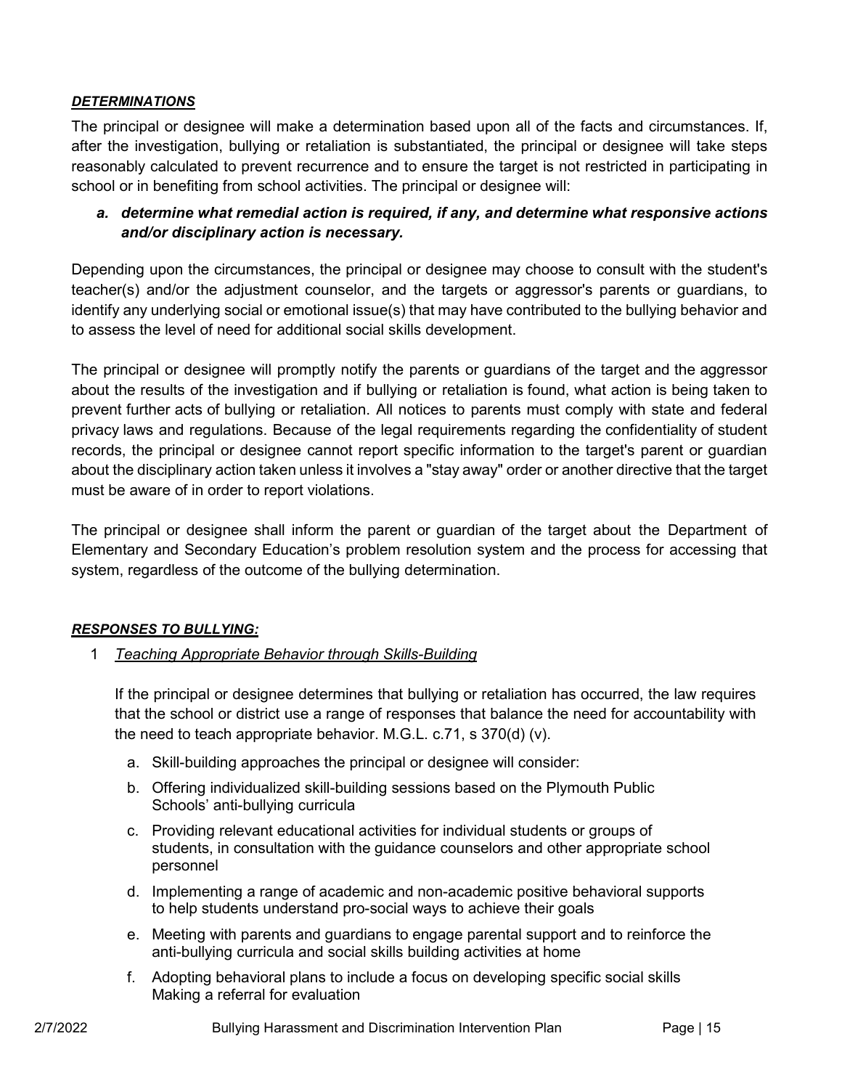#### <span id="page-14-0"></span>*DETERMINATIONS*

The principal or designee will make a determination based upon all of the facts and circumstances. If, after the investigation, bullying or retaliation is substantiated, the principal or designee will take steps reasonably calculated to prevent recurrence and to ensure the target is not restricted in participating in school or in benefiting from school activities. The principal or designee will:

#### *a. determine what remedial action is required, if any, and determine what responsive actions and/or disciplinary action is necessary.*

Depending upon the circumstances, the principal or designee may choose to consult with the student's teacher(s) and/or the adjustment counselor, and the targets or aggressor's parents or guardians, to identify any underlying social or emotional issue(s) that may have contributed to the bullying behavior and to assess the level of need for additional social skills development.

The principal or designee will promptly notify the parents or guardians of the target and the aggressor about the results of the investigation and if bullying or retaliation is found, what action is being taken to prevent further acts of bullying or retaliation. All notices to parents must comply with state and federal privacy laws and regulations. Because of the legal requirements regarding the confidentiality of student records, the principal or designee cannot report specific information to the target's parent or guardian about the disciplinary action taken unless it involves a "stay away" order or another directive that the target must be aware of in order to report violations.

The principal or designee shall inform the parent or guardian of the target about the Department of Elementary and Secondary Education's problem resolution system and the process for accessing that system, regardless of the outcome of the bullying determination.

#### <span id="page-14-1"></span>*RESPONSES TO BULLYING:*

1 *Teaching Appropriate Behavior through Skills-Building*

If the principal or designee determines that bullying or retaliation has occurred, the law requires that the school or district use a range of responses that balance the need for accountability with the need to teach appropriate behavior. M.G.L. c.71, s 370(d) (v).

- a. Skill-building approaches the principal or designee will consider:
- b. Offering individualized skill-building sessions based on the Plymouth Public Schools' anti-bullying curricula
- c. Providing relevant educational activities for individual students or groups of students, in consultation with the guidance counselors and other appropriate school personnel
- d. Implementing a range of academic and non-academic positive behavioral supports to help students understand pro-social ways to achieve their goals
- e. Meeting with parents and guardians to engage parental support and to reinforce the anti-bullying curricula and social skills building activities at home
- f. Adopting behavioral plans to include a focus on developing specific social skills Making a referral for evaluation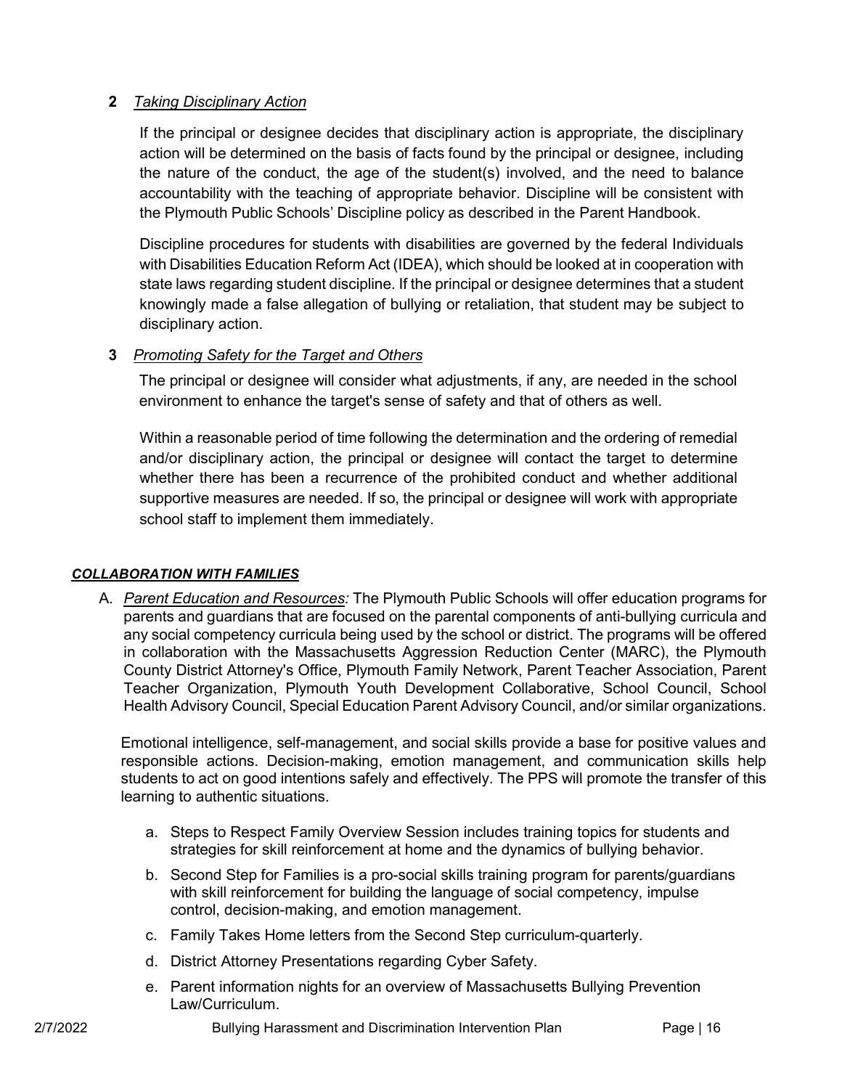#### **2** *Taking Disciplinary Action*

If the principal or designee decides that disciplinary action is appropriate, the disciplinary action will be determined on the basis of facts found by the principal or designee, including the nature of the conduct, the age of the student(s) involved, and the need to balance accountability with the teaching of appropriate behavior. Discipline will be consistent with the Plymouth Public Schools' Discipline policy as described in the Parent Handbook.

Discipline procedures for students with disabilities are governed by the federal Individuals with Disabilities Education Reform Act (IDEA), which should be looked at in cooperation with state laws regarding student discipline. If the principal or designee determines that a student knowingly made a false allegation of bullying or retaliation, that student may be subject to disciplinary action.

#### **3** *Promoting Safety for the Target and Others*

The principal or designee will consider what adjustments, if any, are needed in the school environment to enhance the target's sense of safety and that of others as well.

Within a reasonable period of time following the determination and the ordering of remedial and/or disciplinary action, the principal or designee will contact the target to determine whether there has been a recurrence of the prohibited conduct and whether additional supportive measures are needed. If so, the principal or designee will work with appropriate school staff to implement them immediately.

#### <span id="page-15-0"></span>*COLLABORATION WITH FAMILIES*

A. *Parent Education and Resources:* The Plymouth Public Schools will offer education programs for parents and guardians that are focused on the parental components of anti-bullying curricula and any social competency curricula being used by the school or district. The programs will be offered in collaboration with the Massachusetts Aggression Reduction Center (MARC), the Plymouth County District Attorney's Office, Plymouth Family Network, Parent Teacher Association, Parent Teacher Organization, Plymouth Youth Development Collaborative, School Council, School Health Advisory Council, Special Education Parent Advisory Council, and/or similar organizations.

Emotional intelligence, self-management, and social skills provide a base for positive values and responsible actions. Decision-making, emotion management, and communication skills help students to act on good intentions safely and effectively. The PPS will promote the transfer of this learning to authentic situations.

- a. Steps to Respect Family Overview Session includes training topics for students and strategies for skill reinforcement at home and the dynamics of bullying behavior.
- b. Second Step for Families is a pro-social skills training program for parents/guardians with skill reinforcement for building the language of social competency, impulse control, decision-making, and emotion management.
- c. Family Takes Home letters from the Second Step curriculum-quarterly.
- d. District Attorney Presentations regarding Cyber Safety.
- e. Parent information nights for an overview of Massachusetts Bullying Prevention Law/Curriculum.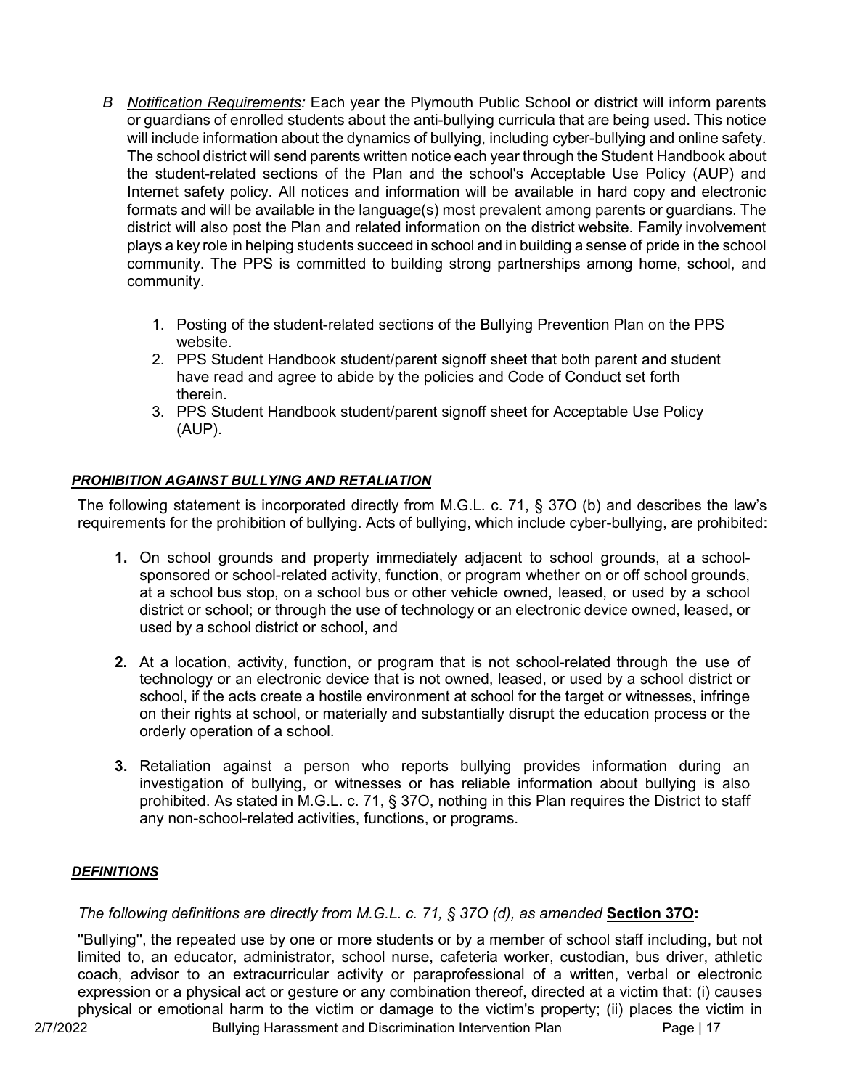- *B Notification Requirements:* Each year the Plymouth Public School or district will inform parents or guardians of enrolled students about the anti-bullying curricula that are being used. This notice will include information about the dynamics of bullying, including cyber-bullying and online safety. The school district will send parents written notice each year through the Student Handbook about the student-related sections of the Plan and the school's Acceptable Use Policy (AUP) and Internet safety policy. All notices and information will be available in hard copy and electronic formats and will be available in the language(s) most prevalent among parents or guardians. The district will also post the Plan and related information on the district website. Family involvement plays a key role in helping students succeed in school and in building a sense of pride in the school community. The PPS is committed to building strong partnerships among home, school, and community.
	- 1. Posting of the student-related sections of the Bullying Prevention Plan on the PPS website.
	- 2. PPS Student Handbook student/parent signoff sheet that both parent and student have read and agree to abide by the policies and Code of Conduct set forth therein.
	- 3. PPS Student Handbook student/parent signoff sheet for Acceptable Use Policy (AUP).

#### <span id="page-16-0"></span>*PROHIBITION AGAINST BULLYING AND RETALIATION*

The following statement is incorporated directly from M.G.L. c. 71, § 37O (b) and describes the law's requirements for the prohibition of bullying. Acts of bullying, which include cyber-bullying, are prohibited:

- **1.** On school grounds and property immediately adjacent to school grounds, at a schoolsponsored or school-related activity, function, or program whether on or off school grounds, at a school bus stop, on a school bus or other vehicle owned, leased, or used by a school district or school; or through the use of technology or an electronic device owned, leased, or used by a school district or school, and
- **2.** At a location, activity, function, or program that is not school-related through the use of technology or an electronic device that is not owned, leased, or used by a school district or school, if the acts create a hostile environment at school for the target or witnesses, infringe on their rights at school, or materially and substantially disrupt the education process or the orderly operation of a school.
- **3.** Retaliation against a person who reports bullying provides information during an investigation of bullying, or witnesses or has reliable information about bullying is also prohibited. As stated in M.G.L. c. 71, § 37O, nothing in this Plan requires the District to staff any non-school-related activities, functions, or programs.

#### <span id="page-16-1"></span>*DEFINITIONS*

#### *The following definitions are directly from M.G.L. c. 71, § 37O (d), as amended* **Section 37O:**

2/7/2022 Bullying Harassment and Discrimination Intervention Plan Page | 17 ''Bullying'', the repeated use by one or more students or by a member of school staff including, but not limited to, an educator, administrator, school nurse, cafeteria worker, custodian, bus driver, athletic coach, advisor to an extracurricular activity or paraprofessional of a written, verbal or electronic expression or a physical act or gesture or any combination thereof, directed at a victim that: (i) causes physical or emotional harm to the victim or damage to the victim's property; (ii) places the victim in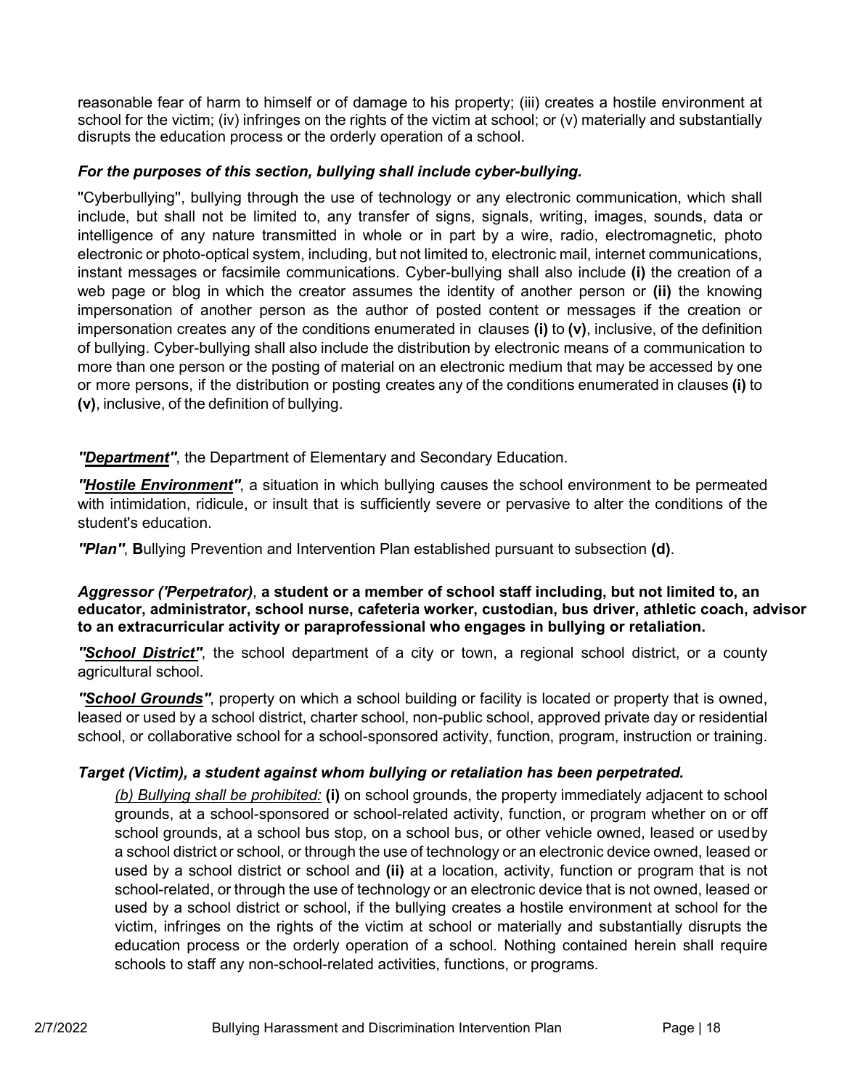reasonable fear of harm to himself or of damage to his property; (iii) creates a hostile environment at school for the victim; (iv) infringes on the rights of the victim at school; or (v) materially and substantially disrupts the education process or the orderly operation of a school.

#### *For the purposes of this section, bullying shall include cyber-bullying.*

''Cyberbullying'', bullying through the use of technology or any electronic communication, which shall include, but shall not be limited to, any transfer of signs, signals, writing, images, sounds, data or intelligence of any nature transmitted in whole or in part by a wire, radio, electromagnetic, photo electronic or photo-optical system, including, but not limited to, electronic mail, internet communications, instant messages or facsimile communications. Cyber-bullying shall also include **(i)** the creation of a web page or blog in which the creator assumes the identity of another person or **(ii)** the knowing impersonation of another person as the author of posted content or messages if the creation or impersonation creates any of the conditions enumerated in clauses **(i)** to **(v)**, inclusive, of the definition of bullying. Cyber-bullying shall also include the distribution by electronic means of a communication to more than one person or the posting of material on an electronic medium that may be accessed by one or more persons, if the distribution or posting creates any of the conditions enumerated in clauses **(i)** to **(v)**, inclusive, of the definition of bullying.

#### *''Department''*, the Department of Elementary and Secondary Education.

*''Hostile Environment''*, a situation in which bullying causes the school environment to be permeated with intimidation, ridicule, or insult that is sufficiently severe or pervasive to alter the conditions of the student's education.

*''Plan''*, **B**ullying Prevention and Intervention Plan established pursuant to subsection **(d)**.

#### *Aggressor ('Perpetrator)*, **a student or a member of school staff including, but not limited to, an educator, administrator, school nurse, cafeteria worker, custodian, bus driver, athletic coach, advisor to an extracurricular activity or paraprofessional who engages in bullying or retaliation.**

*''School District''*, the school department of a city or town, a regional school district, or a county agricultural school.

*''School Grounds''*, property on which a school building or facility is located or property that is owned, leased or used by a school district, charter school, non-public school, approved private day or residential school, or collaborative school for a school-sponsored activity, function, program, instruction or training.

#### *Target (Victim), a student against whom bullying or retaliation has been perpetrated.*

*(b) Bullying shall be prohibited:* **(i)** on school grounds, the property immediately adjacent to school grounds, at a school-sponsored or school-related activity, function, or program whether on or off school grounds, at a school bus stop, on a school bus, or other vehicle owned, leased or usedby a school district or school, or through the use of technology or an electronic device owned, leased or used by a school district or school and **(ii)** at a location, activity, function or program that is not school-related, or through the use of technology or an electronic device that is not owned, leased or used by a school district or school, if the bullying creates a hostile environment at school for the victim, infringes on the rights of the victim at school or materially and substantially disrupts the education process or the orderly operation of a school. Nothing contained herein shall require schools to staff any non-school-related activities, functions, or programs.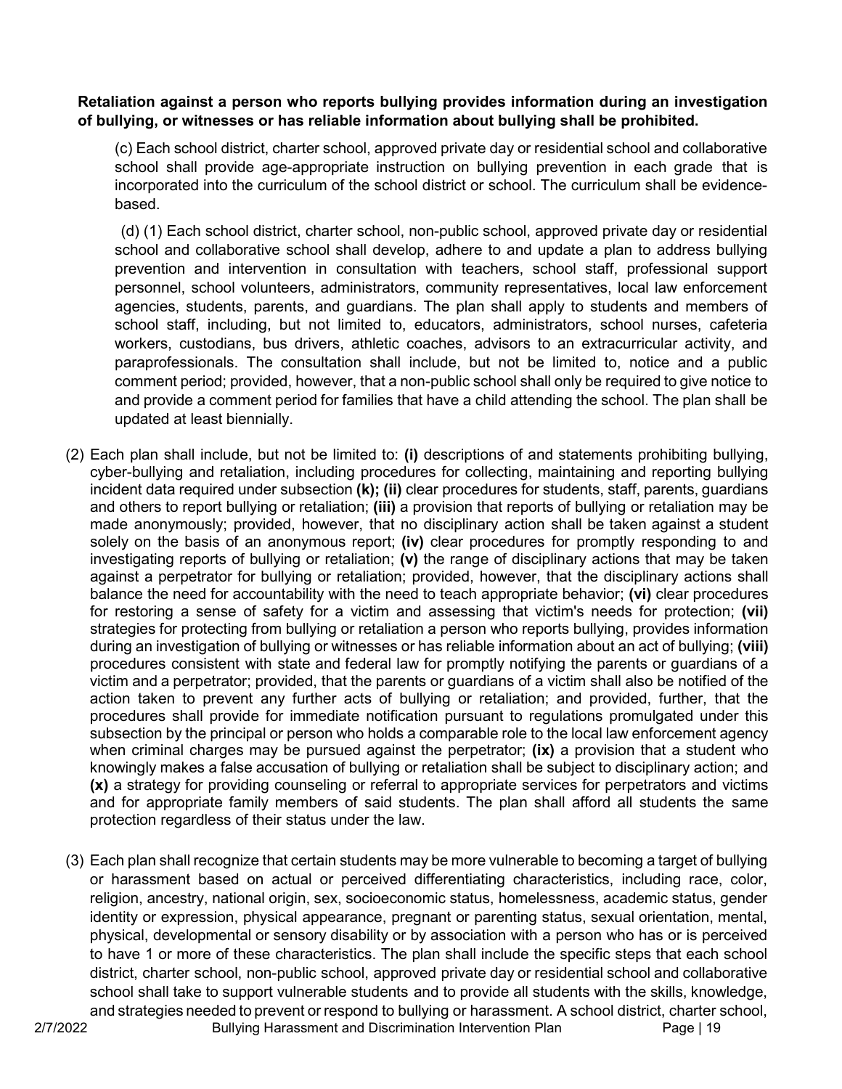#### **Retaliation against a person who reports bullying provides information during an investigation of bullying, or witnesses or has reliable information about bullying shall be prohibited.**

(c) Each school district, charter school, approved private day or residential school and collaborative school shall provide age-appropriate instruction on bullying prevention in each grade that is incorporated into the curriculum of the school district or school. The curriculum shall be evidencebased.

(d) (1) Each school district, charter school, non-public school, approved private day or residential school and collaborative school shall develop, adhere to and update a plan to address bullying prevention and intervention in consultation with teachers, school staff, professional support personnel, school volunteers, administrators, community representatives, local law enforcement agencies, students, parents, and guardians. The plan shall apply to students and members of school staff, including, but not limited to, educators, administrators, school nurses, cafeteria workers, custodians, bus drivers, athletic coaches, advisors to an extracurricular activity, and paraprofessionals. The consultation shall include, but not be limited to, notice and a public comment period; provided, however, that a non-public school shall only be required to give notice to and provide a comment period for families that have a child attending the school. The plan shall be updated at least biennially.

- (2) Each plan shall include, but not be limited to: **(i)** descriptions of and statements prohibiting bullying, cyber-bullying and retaliation, including procedures for collecting, maintaining and reporting bullying incident data required under subsection **(k); (ii)** clear procedures for students, staff, parents, guardians and others to report bullying or retaliation; **(iii)** a provision that reports of bullying or retaliation may be made anonymously; provided, however, that no disciplinary action shall be taken against a student solely on the basis of an anonymous report; **(iv)** clear procedures for promptly responding to and investigating reports of bullying or retaliation; **(v)** the range of disciplinary actions that may be taken against a perpetrator for bullying or retaliation; provided, however, that the disciplinary actions shall balance the need for accountability with the need to teach appropriate behavior; **(vi)** clear procedures for restoring a sense of safety for a victim and assessing that victim's needs for protection; **(vii)** strategies for protecting from bullying or retaliation a person who reports bullying, provides information during an investigation of bullying or witnesses or has reliable information about an act of bullying; **(viii)** procedures consistent with state and federal law for promptly notifying the parents or guardians of a victim and a perpetrator; provided, that the parents or guardians of a victim shall also be notified of the action taken to prevent any further acts of bullying or retaliation; and provided, further, that the procedures shall provide for immediate notification pursuant to regulations promulgated under this subsection by the principal or person who holds a comparable role to the local law enforcement agency when criminal charges may be pursued against the perpetrator; **(ix)** a provision that a student who knowingly makes a false accusation of bullying or retaliation shall be subject to disciplinary action; and **(x)** a strategy for providing counseling or referral to appropriate services for perpetrators and victims and for appropriate family members of said students. The plan shall afford all students the same protection regardless of their status under the law.
- (3) Each plan shall recognize that certain students may be more vulnerable to becoming a target of bullying or harassment based on actual or perceived differentiating characteristics, including race, color, religion, ancestry, national origin, sex, socioeconomic status, homelessness, academic status, gender identity or expression, physical appearance, pregnant or parenting status, sexual orientation, mental, physical, developmental or sensory disability or by association with a person who has or is perceived to have 1 or more of these characteristics. The plan shall include the specific steps that each school district, charter school, non-public school, approved private day or residential school and collaborative school shall take to support vulnerable students and to provide all students with the skills, knowledge, and strategies needed to prevent or respond to bullying or harassment. A school district, charter school,

2/7/2022 Bullying Harassment and Discrimination Intervention Plan Page | 19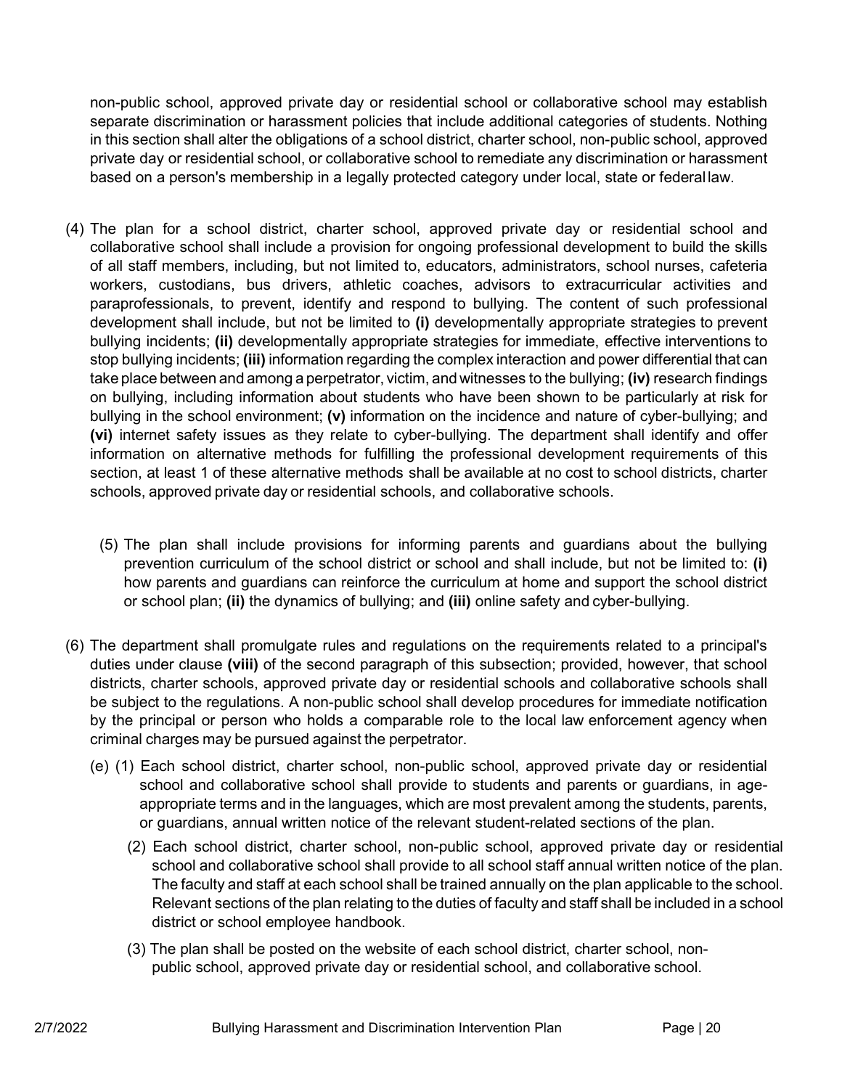non-public school, approved private day or residential school or collaborative school may establish separate discrimination or harassment policies that include additional categories of students. Nothing in this section shall alter the obligations of a school district, charter school, non-public school, approved private day or residential school, or collaborative school to remediate any discrimination or harassment based on a person's membership in a legally protected category under local, state or federal law.

- (4) The plan for a school district, charter school, approved private day or residential school and collaborative school shall include a provision for ongoing professional development to build the skills of all staff members, including, but not limited to, educators, administrators, school nurses, cafeteria workers, custodians, bus drivers, athletic coaches, advisors to extracurricular activities and paraprofessionals, to prevent, identify and respond to bullying. The content of such professional development shall include, but not be limited to **(i)** developmentally appropriate strategies to prevent bullying incidents; **(ii)** developmentally appropriate strategies for immediate, effective interventions to stop bullying incidents; **(iii)** information regarding the complex interaction and power differential that can take place between and among a perpetrator, victim, and witnesses to the bullying; **(iv)** research findings on bullying, including information about students who have been shown to be particularly at risk for bullying in the school environment; **(v)** information on the incidence and nature of cyber-bullying; and **(vi)** internet safety issues as they relate to cyber-bullying. The department shall identify and offer information on alternative methods for fulfilling the professional development requirements of this section, at least 1 of these alternative methods shall be available at no cost to school districts, charter schools, approved private day or residential schools, and collaborative schools.
	- (5) The plan shall include provisions for informing parents and guardians about the bullying prevention curriculum of the school district or school and shall include, but not be limited to: **(i)** how parents and guardians can reinforce the curriculum at home and support the school district or school plan; **(ii)** the dynamics of bullying; and **(iii)** online safety and cyber-bullying.
- (6) The department shall promulgate rules and regulations on the requirements related to a principal's duties under clause **(viii)** of the second paragraph of this subsection; provided, however, that school districts, charter schools, approved private day or residential schools and collaborative schools shall be subject to the regulations. A non-public school shall develop procedures for immediate notification by the principal or person who holds a comparable role to the local law enforcement agency when criminal charges may be pursued against the perpetrator.
	- (e) (1) Each school district, charter school, non-public school, approved private day or residential school and collaborative school shall provide to students and parents or guardians, in ageappropriate terms and in the languages, which are most prevalent among the students, parents, or guardians, annual written notice of the relevant student-related sections of the plan.
		- (2) Each school district, charter school, non-public school, approved private day or residential school and collaborative school shall provide to all school staff annual written notice of the plan. The faculty and staff at each school shall be trained annually on the plan applicable to the school. Relevant sections of the plan relating to the duties of faculty and staff shall be included in a school district or school employee handbook.
		- (3) The plan shall be posted on the website of each school district, charter school, nonpublic school, approved private day or residential school, and collaborative school.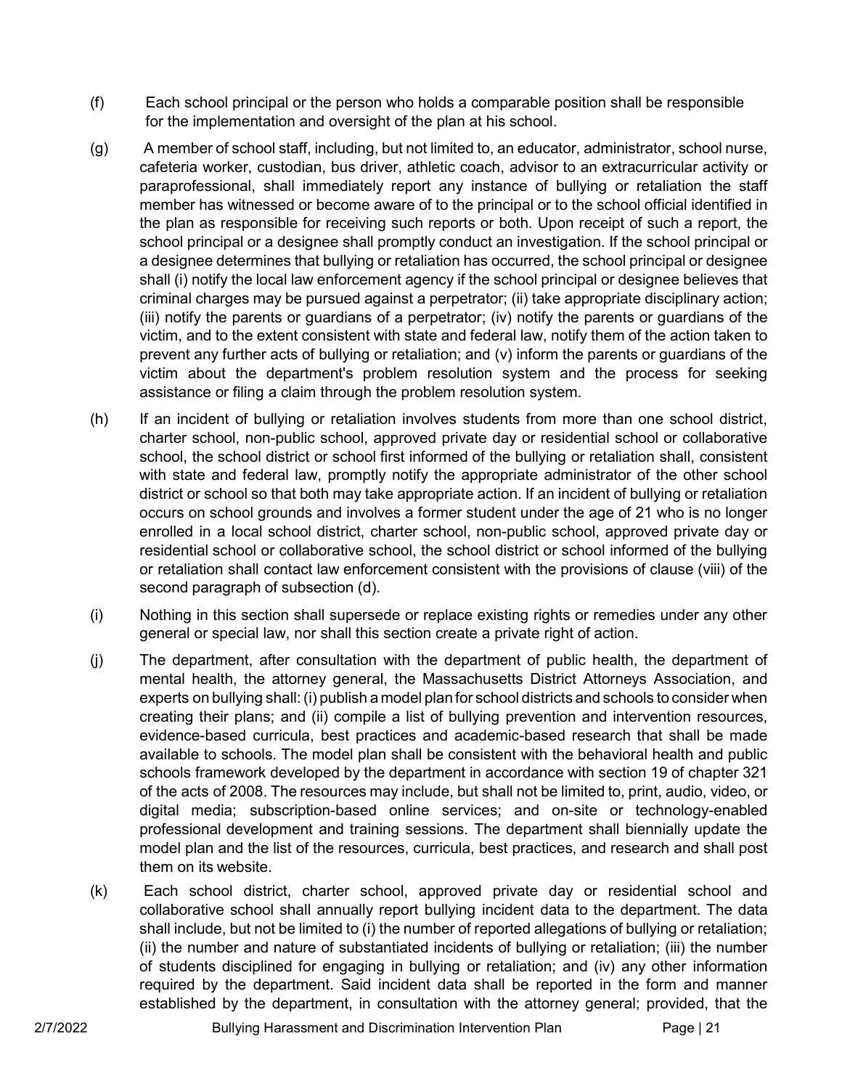- (f) Each school principal or the person who holds a comparable position shall be responsible for the implementation and oversight of the plan at his school.
- (g) A member of school staff, including, but not limited to, an educator, administrator, school nurse, cafeteria worker, custodian, bus driver, athletic coach, advisor to an extracurricular activity or paraprofessional, shall immediately report any instance of bullying or retaliation the staff member has witnessed or become aware of to the principal or to the school official identified in the plan as responsible for receiving such reports or both. Upon receipt of such a report, the school principal or a designee shall promptly conduct an investigation. If the school principal or a designee determines that bullying or retaliation has occurred, the school principal or designee shall (i) notify the local law enforcement agency if the school principal or designee believes that criminal charges may be pursued against a perpetrator; (ii) take appropriate disciplinary action; (iii) notify the parents or guardians of a perpetrator; (iv) notify the parents or guardians of the victim, and to the extent consistent with state and federal law, notify them of the action taken to prevent any further acts of bullying or retaliation; and (v) inform the parents or guardians of the victim about the department's problem resolution system and the process for seeking assistance or filing a claim through the problem resolution system.
- (h) If an incident of bullying or retaliation involves students from more than one school district, charter school, non-public school, approved private day or residential school or collaborative school, the school district or school first informed of the bullying or retaliation shall, consistent with state and federal law, promptly notify the appropriate administrator of the other school district or school so that both may take appropriate action. If an incident of bullying or retaliation occurs on school grounds and involves a former student under the age of 21 who is no longer enrolled in a local school district, charter school, non-public school, approved private day or residential school or collaborative school, the school district or school informed of the bullying or retaliation shall contact law enforcement consistent with the provisions of clause (viii) of the second paragraph of subsection (d).
- (i) Nothing in this section shall supersede or replace existing rights or remedies under any other general or special law, nor shall this section create a private right of action.
- (j) The department, after consultation with the department of public health, the department of mental health, the attorney general, the Massachusetts District Attorneys Association, and experts on bullying shall: (i) publish a model plan for school districts and schools to consider when creating their plans; and (ii) compile a list of bullying prevention and intervention resources, evidence-based curricula, best practices and academic-based research that shall be made available to schools. The model plan shall be consistent with the behavioral health and public schools framework developed by the department in accordance with section 19 of chapter 321 of the acts of 2008. The resources may include, but shall not be limited to, print, audio, video, or digital media; subscription-based online services; and on-site or technology-enabled professional development and training sessions. The department shall biennially update the model plan and the list of the resources, curricula, best practices, and research and shall post them on its website.
- (k) Each school district, charter school, approved private day or residential school and collaborative school shall annually report bullying incident data to the department. The data shall include, but not be limited to (i) the number of reported allegations of bullying or retaliation; (ii) the number and nature of substantiated incidents of bullying or retaliation; (iii) the number of students disciplined for engaging in bullying or retaliation; and (iv) any other information required by the department. Said incident data shall be reported in the form and manner established by the department, in consultation with the attorney general; provided, that the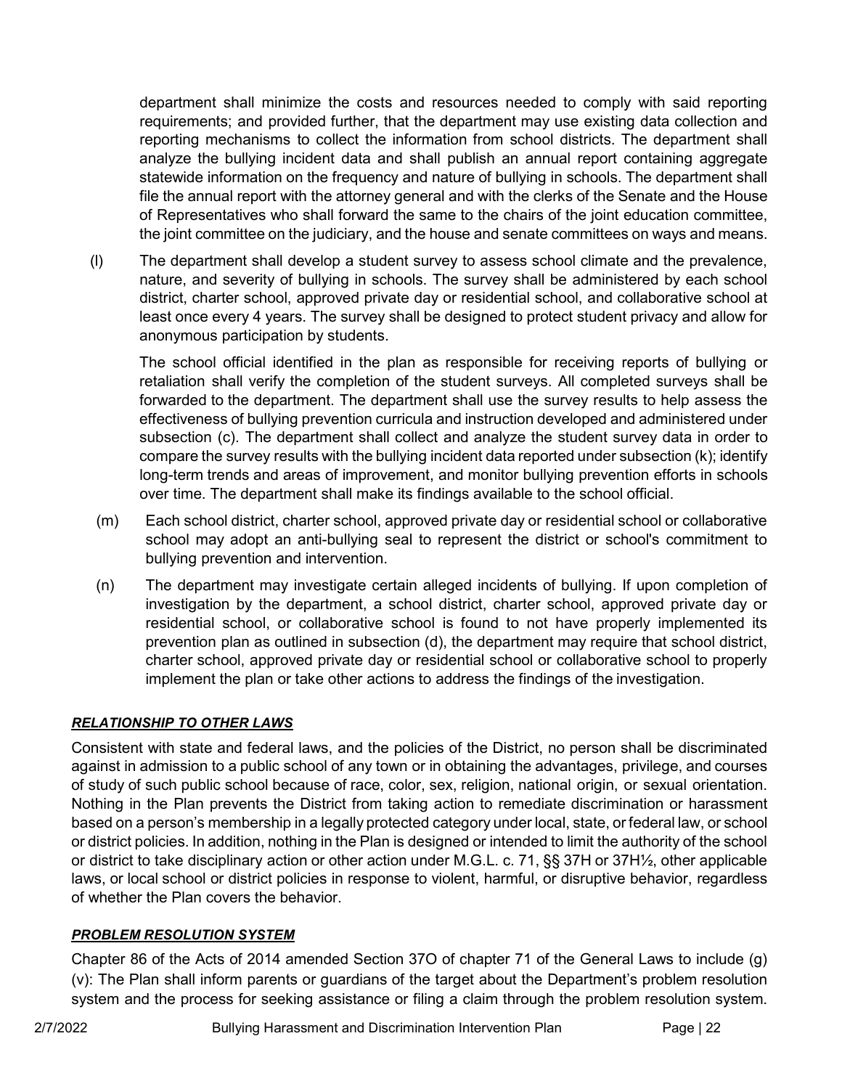department shall minimize the costs and resources needed to comply with said reporting requirements; and provided further, that the department may use existing data collection and reporting mechanisms to collect the information from school districts. The department shall analyze the bullying incident data and shall publish an annual report containing aggregate statewide information on the frequency and nature of bullying in schools. The department shall file the annual report with the attorney general and with the clerks of the Senate and the House of Representatives who shall forward the same to the chairs of the joint education committee, the joint committee on the judiciary, and the house and senate committees on ways and means.

(l) The department shall develop a student survey to assess school climate and the prevalence, nature, and severity of bullying in schools. The survey shall be administered by each school district, charter school, approved private day or residential school, and collaborative school at least once every 4 years. The survey shall be designed to protect student privacy and allow for anonymous participation by students.

The school official identified in the plan as responsible for receiving reports of bullying or retaliation shall verify the completion of the student surveys. All completed surveys shall be forwarded to the department. The department shall use the survey results to help assess the effectiveness of bullying prevention curricula and instruction developed and administered under subsection (c). The department shall collect and analyze the student survey data in order to compare the survey results with the bullying incident data reported under subsection (k); identify long-term trends and areas of improvement, and monitor bullying prevention efforts in schools over time. The department shall make its findings available to the school official.

- (m) Each school district, charter school, approved private day or residential school or collaborative school may adopt an anti-bullying seal to represent the district or school's commitment to bullying prevention and intervention.
- (n) The department may investigate certain alleged incidents of bullying. If upon completion of investigation by the department, a school district, charter school, approved private day or residential school, or collaborative school is found to not have properly implemented its prevention plan as outlined in subsection (d), the department may require that school district, charter school, approved private day or residential school or collaborative school to properly implement the plan or take other actions to address the findings of the investigation.

#### <span id="page-21-0"></span>*RELATIONSHIP TO OTHER LAWS*

Consistent with state and federal laws, and the policies of the District, no person shall be discriminated against in admission to a public school of any town or in obtaining the advantages, privilege, and courses of study of such public school because of race, color, sex, religion, national origin, or sexual orientation. Nothing in the Plan prevents the District from taking action to remediate discrimination or harassment based on a person's membership in a legally protected category under local, state, or federal law, or school or district policies. In addition, nothing in the Plan is designed or intended to limit the authority of the school or district to take disciplinary action or other action under M.G.L. c. 71, §§ 37H or 37H½, other applicable laws, or local school or district policies in response to violent, harmful, or disruptive behavior, regardless of whether the Plan covers the behavior.

#### <span id="page-21-1"></span>*PROBLEM RESOLUTION SYSTEM*

Chapter 86 of the Acts of 2014 amended Section 37O of chapter 71 of the General Laws to include (g) (v): The Plan shall inform parents or guardians of the target about the Department's problem resolution system and the process for seeking assistance or filing a claim through the problem resolution system.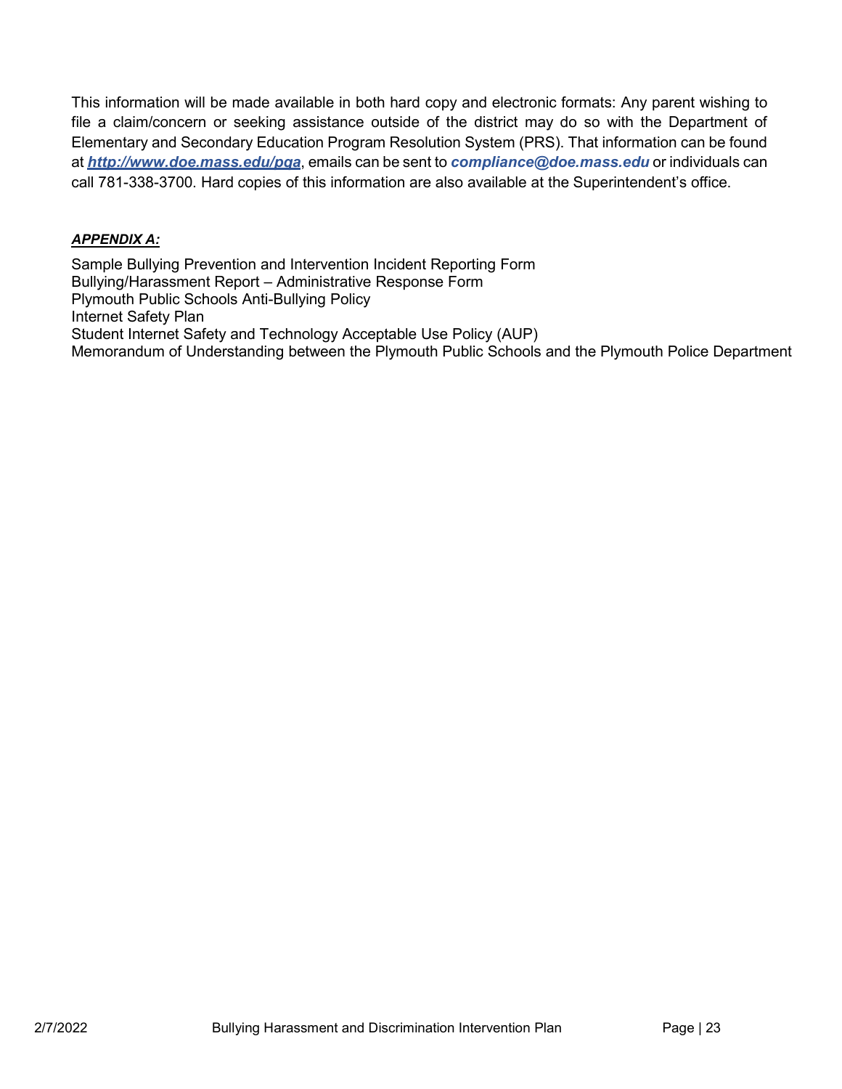This information will be made available in both hard copy and electronic formats: Any parent wishing to file a claim/concern or seeking assistance outside of the district may do so with the Department of Elementary and Secondary Education Program Resolution System (PRS). That information can be found at *<http://www.doe.mass.edu/pqa>*, emails can be sent to *[compliance@doe.mass.edu](mailto:compliance@doe.mass.edu)* or individuals can call 781-338-3700. Hard copies of this information are also available at the Superintendent's office.

#### <span id="page-22-0"></span>*APPENDIX A:*

Sample Bullying Prevention and Intervention Incident Reporting Form Bullying/Harassment Report – Administrative Response Form Plymouth Public Schools Anti-Bullying Policy Internet Safety Plan Student Internet Safety and Technology Acceptable Use Policy (AUP) Memorandum of Understanding between the Plymouth Public Schools and the Plymouth Police Department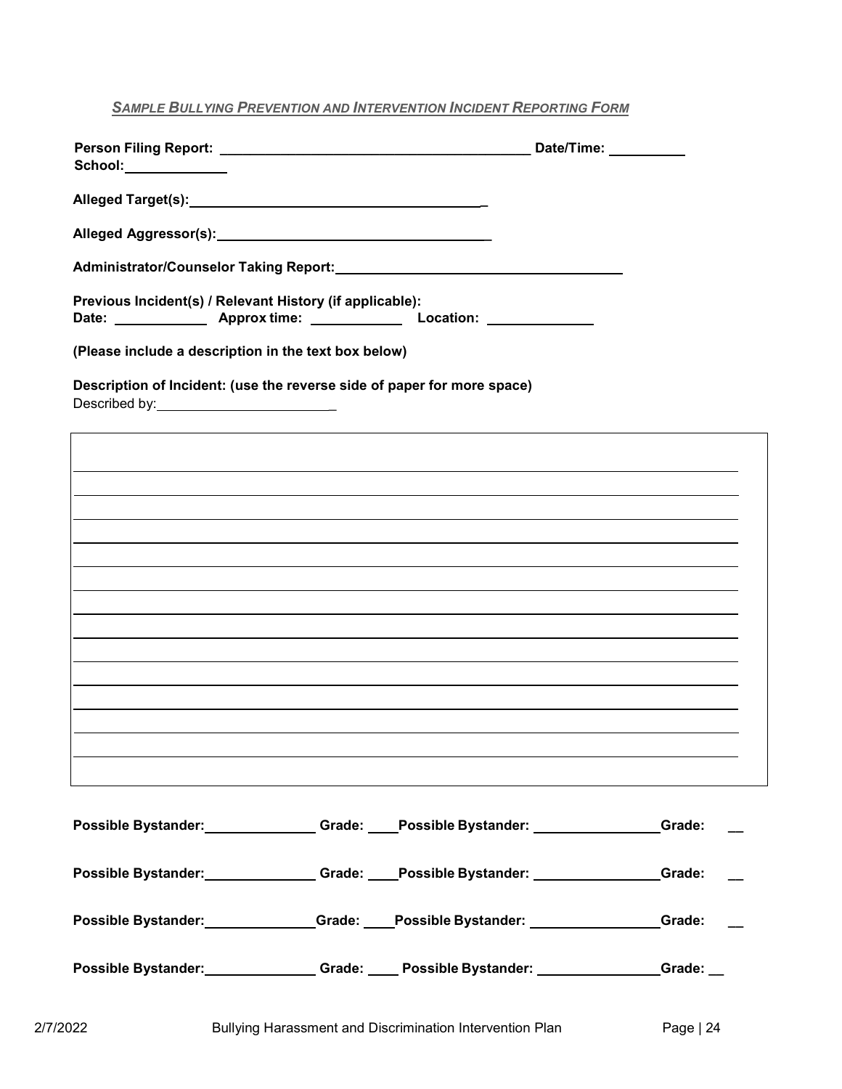*SAMPLE BULLYING PREVENTION AND INTERVENTION INCIDENT REPORTING FORM*

<span id="page-23-0"></span>

| School:_____________                                                                                             |  |        |
|------------------------------------------------------------------------------------------------------------------|--|--------|
|                                                                                                                  |  |        |
|                                                                                                                  |  |        |
|                                                                                                                  |  |        |
| Previous Incident(s) / Relevant History (if applicable):                                                         |  |        |
| (Please include a description in the text box below)                                                             |  |        |
| Description of Incident: (use the reverse side of paper for more space)                                          |  |        |
|                                                                                                                  |  |        |
|                                                                                                                  |  |        |
|                                                                                                                  |  |        |
|                                                                                                                  |  |        |
|                                                                                                                  |  |        |
|                                                                                                                  |  |        |
|                                                                                                                  |  |        |
|                                                                                                                  |  |        |
|                                                                                                                  |  |        |
|                                                                                                                  |  |        |
| Possible Bystander: Cambridge Crade: Consider Bystander:                                                         |  | Grade: |
| Possible Bystander: Cambridge Caracter Consider Bystander: Caracter Caracter Consider Consider Consider Conside  |  |        |
| Possible Bystander: Cambridge Canade: Consider Bystander:                                                        |  | Grade: |
| Possible Bystander: Cambridge Caracter Caracter Consider Bystander: Caracter Caracter Consider Consider Caracter |  |        |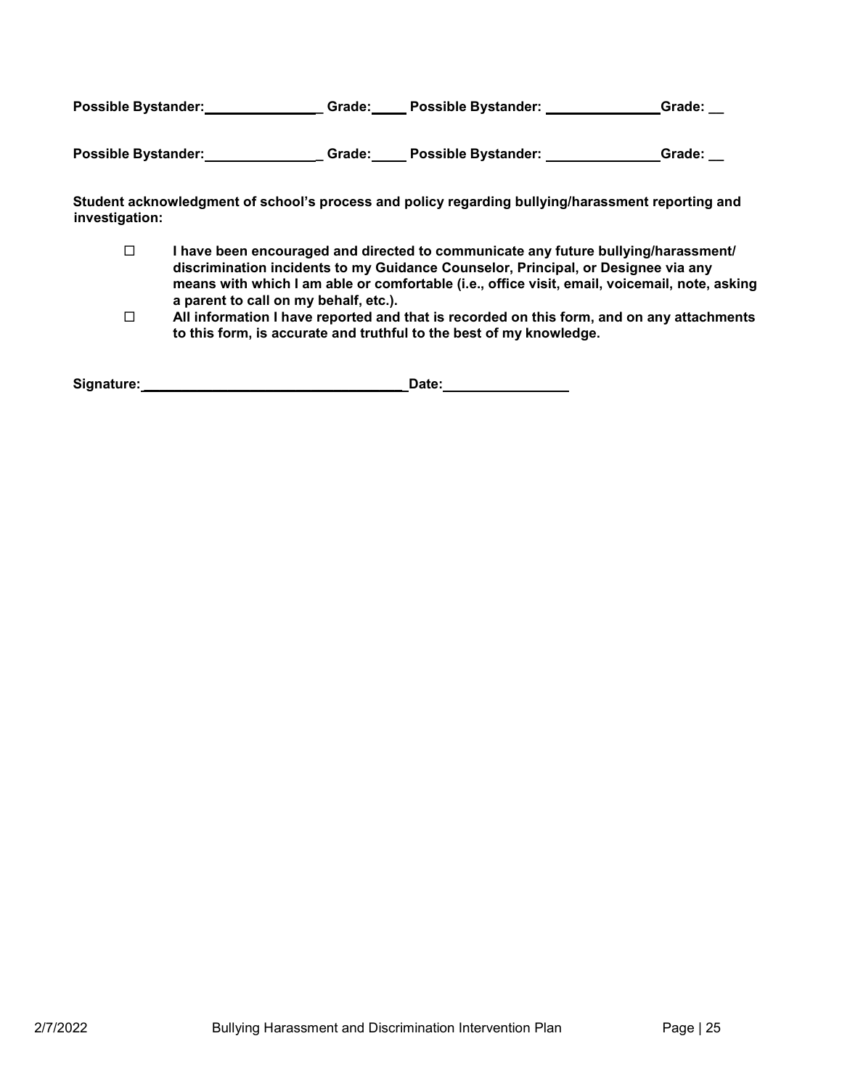Possible Bystander: \_\_\_\_\_\_\_\_\_\_\_\_\_\_\_\_\_Grade: \_\_\_\_ Possible Bystander: \_\_\_\_\_\_\_\_\_\_\_\_\_Grade: \_\_ **Possible Bystander: \_ Grade: Possible Bystander: Grade: \_\_**

**Student acknowledgment of school's process and policy regarding bullying/harassment reporting and investigation:**

- **I have been encouraged and directed to communicate any future bullying/harassment/ discrimination incidents to my Guidance Counselor, Principal, or Designee via any means with which I am able or comfortable (i.e., office visit, email, voicemail, note, asking a parent to call on my behalf, etc.).**
- **All information I have reported and that is recorded on this form, and on any attachments to this form, is accurate and truthful to the best of my knowledge.**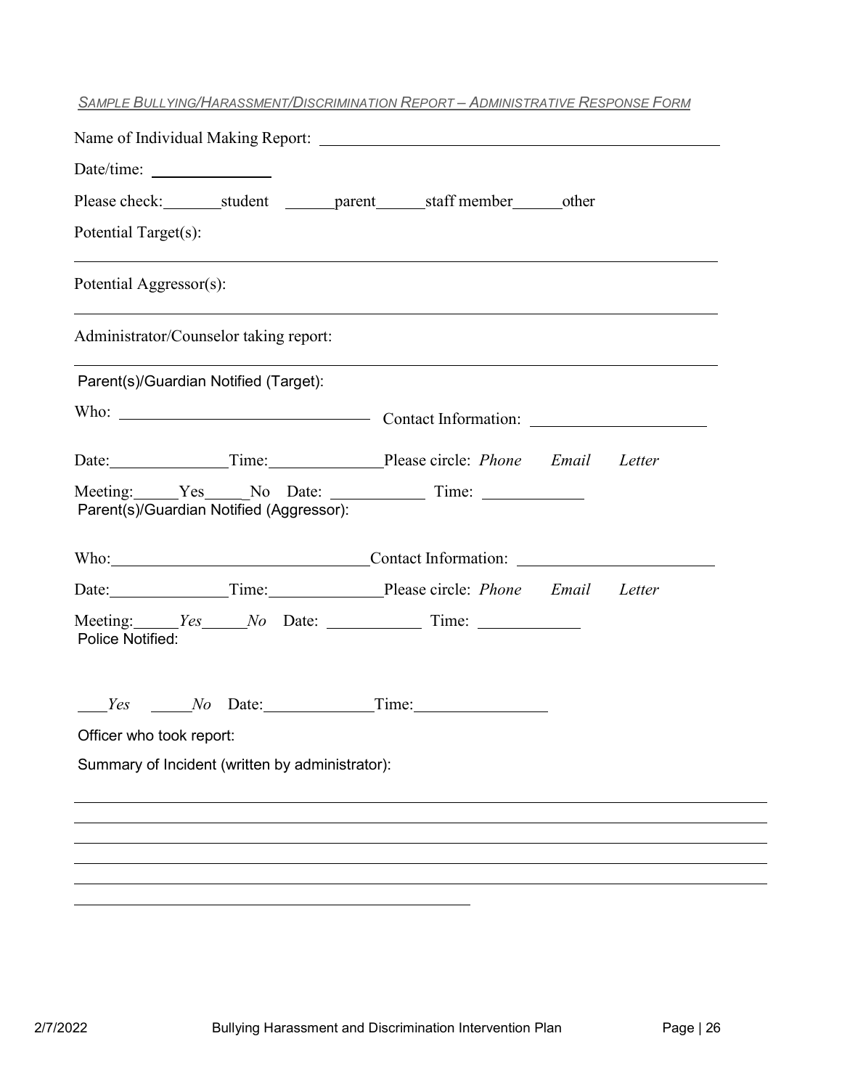<span id="page-25-0"></span>

|                                                 |       | <b>SAMPLE BULLYING/HARASSMENT/DISCRIMINATION REPORT - ADMINISTRATIVE RESPONSE FORM</b> |  |
|-------------------------------------------------|-------|----------------------------------------------------------------------------------------|--|
|                                                 |       |                                                                                        |  |
| Date/time:                                      |       |                                                                                        |  |
|                                                 |       | Please check: student parent staff member other                                        |  |
| Potential Target(s):                            |       | ,我们也不会有什么。""我们的人,我们也不会有什么?""我们的人,我们也不会有什么?""我们的人,我们也不会有什么?""我们的人,我们也不会有什么?""我们的人       |  |
| Potential Aggressor(s):                         |       | ,我们也不会有什么。""我们的人,我们也不会有什么?""我们的人,我们也不会有什么?""我们的人,我们也不会有什么?""我们的人,我们也不会有什么?""我们的人       |  |
| Administrator/Counselor taking report:          |       |                                                                                        |  |
| Parent(s)/Guardian Notified (Target):           |       |                                                                                        |  |
|                                                 |       |                                                                                        |  |
|                                                 |       | Date: Time: Please circle: <i>Phone</i> Email Letter                                   |  |
| Parent(s)/Guardian Notified (Aggressor):        |       | Meeting: Yes No Date: Time:                                                            |  |
|                                                 |       |                                                                                        |  |
|                                                 |       | Date: Time: Time: Please circle: Phone Email Letter                                    |  |
| <b>Police Notified:</b>                         |       |                                                                                        |  |
| $Yes \tNow No \tDate:$                          | Time: |                                                                                        |  |
| Officer who took report:                        |       |                                                                                        |  |
| Summary of Incident (written by administrator): |       |                                                                                        |  |
|                                                 |       |                                                                                        |  |
|                                                 |       |                                                                                        |  |
|                                                 |       |                                                                                        |  |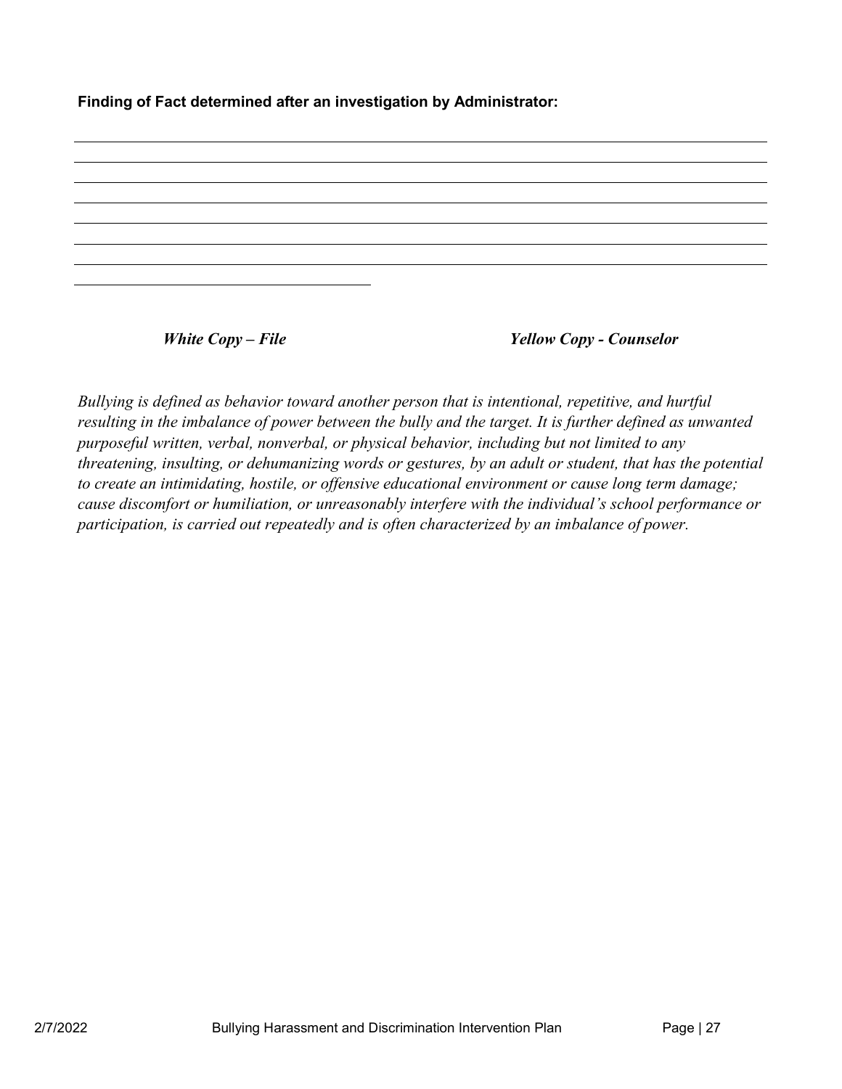**Finding of Fact determined after an investigation by Administrator:**

*White Copy – File Yellow Copy - Counselor*

*Bullying is defined as behavior toward another person that is intentional, repetitive, and hurtful resulting in the imbalance of power between the bully and the target. It is further defined as unwanted purposeful written, verbal, nonverbal, or physical behavior, including but not limited to any threatening, insulting, or dehumanizing words or gestures, by an adult or student, that has the potential to create an intimidating, hostile, or offensive educational environment or cause long term damage; cause discomfort or humiliation, or unreasonably interfere with the individual's school performance or participation, is carried out repeatedly and is often characterized by an imbalance of power.*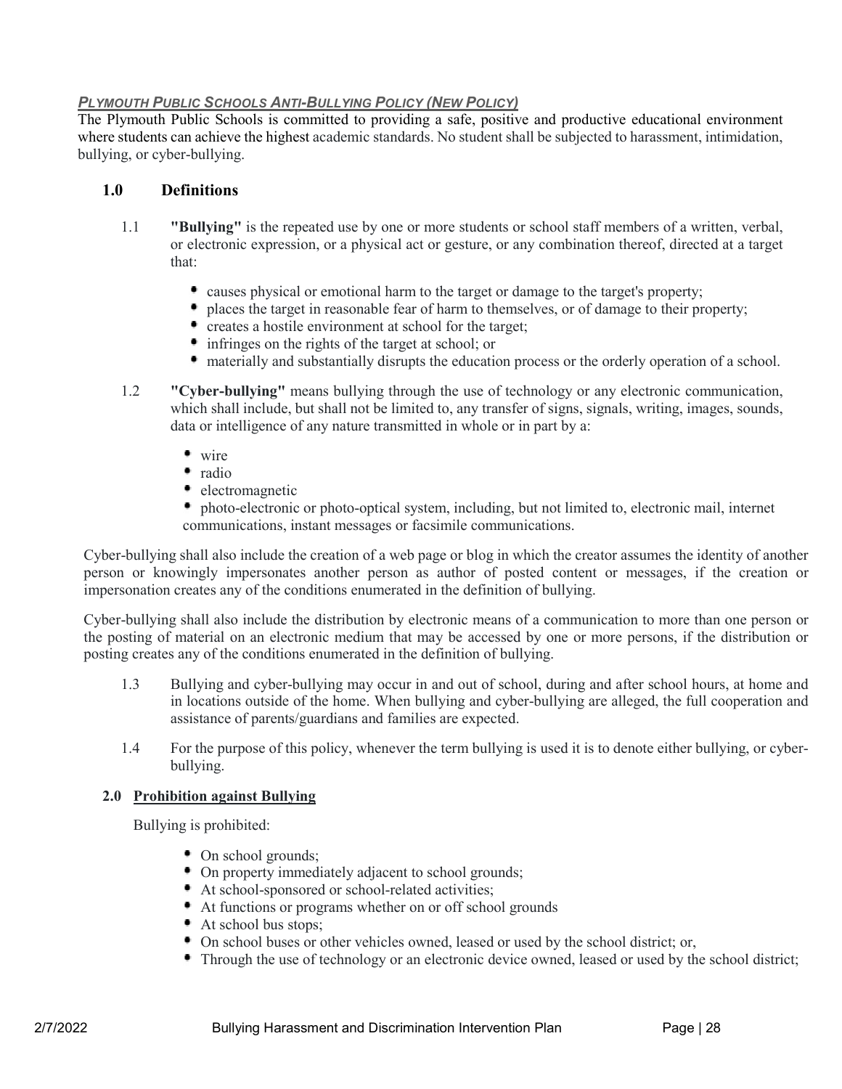#### <span id="page-27-0"></span>*PLYMOUTH PUBLIC SCHOOLS ANTI-BULLYING POLICY (NEW POLICY)*

The Plymouth Public Schools is committed to providing a safe, positive and productive educational environment where students can achieve the highest academic standards. No student shall be subjected to harassment, intimidation, bullying, or cyber-bullying.

#### **1.0 Definitions**

- 1.1 **"Bullying"** is the repeated use by one or more students or school staff members of a written, verbal, or electronic expression, or a physical act or gesture, or any combination thereof, directed at a target that:
	- causes physical or emotional harm to the target or damage to the target's property;
	- places the target in reasonable fear of harm to themselves, or of damage to their property;
	- creates a hostile environment at school for the target;
	- infringes on the rights of the target at school; or
	- materially and substantially disrupts the education process or the orderly operation of a school.
- 1.2 **"Cyber-bullying"** means bullying through the use of technology or any electronic communication, which shall include, but shall not be limited to, any transfer of signs, signals, writing, images, sounds, data or intelligence of any nature transmitted in whole or in part by a:
	- wire
	- radio
	- electromagnetic
	- photo-electronic or photo-optical system, including, but not limited to, electronic mail, internet communications, instant messages or facsimile communications.

Cyber-bullying shall also include the creation of a web page or blog in which the creator assumes the identity of another person or knowingly impersonates another person as author of posted content or messages, if the creation or impersonation creates any of the conditions enumerated in the definition of bullying.

Cyber-bullying shall also include the distribution by electronic means of a communication to more than one person or the posting of material on an electronic medium that may be accessed by one or more persons, if the distribution or posting creates any of the conditions enumerated in the definition of bullying.

- 1.3 Bullying and cyber-bullying may occur in and out of school, during and after school hours, at home and in locations outside of the home. When bullying and cyber-bullying are alleged, the full cooperation and assistance of parents/guardians and families are expected.
- 1.4 For the purpose of this policy, whenever the term bullying is used it is to denote either bullying, or cyberbullying.

#### **2.0 Prohibition against Bullying**

Bullying is prohibited:

- On school grounds;
- On property immediately adjacent to school grounds;
- At school-sponsored or school-related activities;
- At functions or programs whether on or off school grounds
- At school bus stops;
- On school buses or other vehicles owned, leased or used by the school district; or,
- Through the use of technology or an electronic device owned, leased or used by the school district;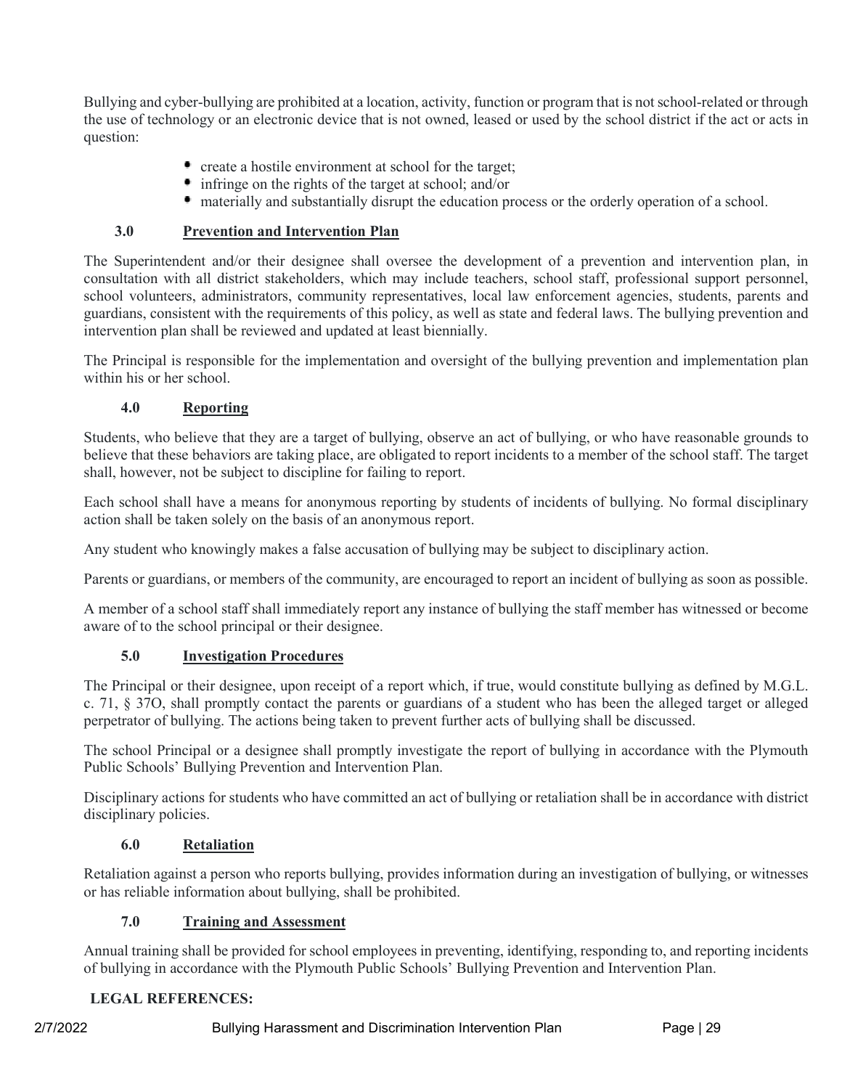Bullying and cyber-bullying are prohibited at a location, activity, function or program that is not school-related or through the use of technology or an electronic device that is not owned, leased or used by the school district if the act or acts in question:

- create a hostile environment at school for the target;
- infringe on the rights of the target at school; and/or
- materially and substantially disrupt the education process or the orderly operation of a school.

#### **3.0 Prevention and Intervention Plan**

The Superintendent and/or their designee shall oversee the development of a prevention and intervention plan, in consultation with all district stakeholders, which may include teachers, school staff, professional support personnel, school volunteers, administrators, community representatives, local law enforcement agencies, students, parents and guardians, consistent with the requirements of this policy, as well as state and federal laws. The bullying prevention and intervention plan shall be reviewed and updated at least biennially.

The Principal is responsible for the implementation and oversight of the bullying prevention and implementation plan within his or her school.

#### **4.0 Reporting**

Students, who believe that they are a target of bullying, observe an act of bullying, or who have reasonable grounds to believe that these behaviors are taking place, are obligated to report incidents to a member of the school staff. The target shall, however, not be subject to discipline for failing to report.

Each school shall have a means for anonymous reporting by students of incidents of bullying. No formal disciplinary action shall be taken solely on the basis of an anonymous report.

Any student who knowingly makes a false accusation of bullying may be subject to disciplinary action.

Parents or guardians, or members of the community, are encouraged to report an incident of bullying as soon as possible.

A member of a school staff shall immediately report any instance of bullying the staff member has witnessed or become aware of to the school principal or their designee.

#### **5.0 Investigation Procedures**

The Principal or their designee, upon receipt of a report which, if true, would constitute bullying as defined by M.G.L. c. 71, § 37O, shall promptly contact the parents or guardians of a student who has been the alleged target or alleged perpetrator of bullying. The actions being taken to prevent further acts of bullying shall be discussed.

The school Principal or a designee shall promptly investigate the report of bullying in accordance with the Plymouth Public Schools' Bullying Prevention and Intervention Plan.

Disciplinary actions for students who have committed an act of bullying or retaliation shall be in accordance with district disciplinary policies.

#### **6.0 Retaliation**

Retaliation against a person who reports bullying, provides information during an investigation of bullying, or witnesses or has reliable information about bullying, shall be prohibited.

#### **7.0 Training and Assessment**

Annual training shall be provided for school employees in preventing, identifying, responding to, and reporting incidents of bullying in accordance with the Plymouth Public Schools' Bullying Prevention and Intervention Plan.

#### **LEGAL REFERENCES:**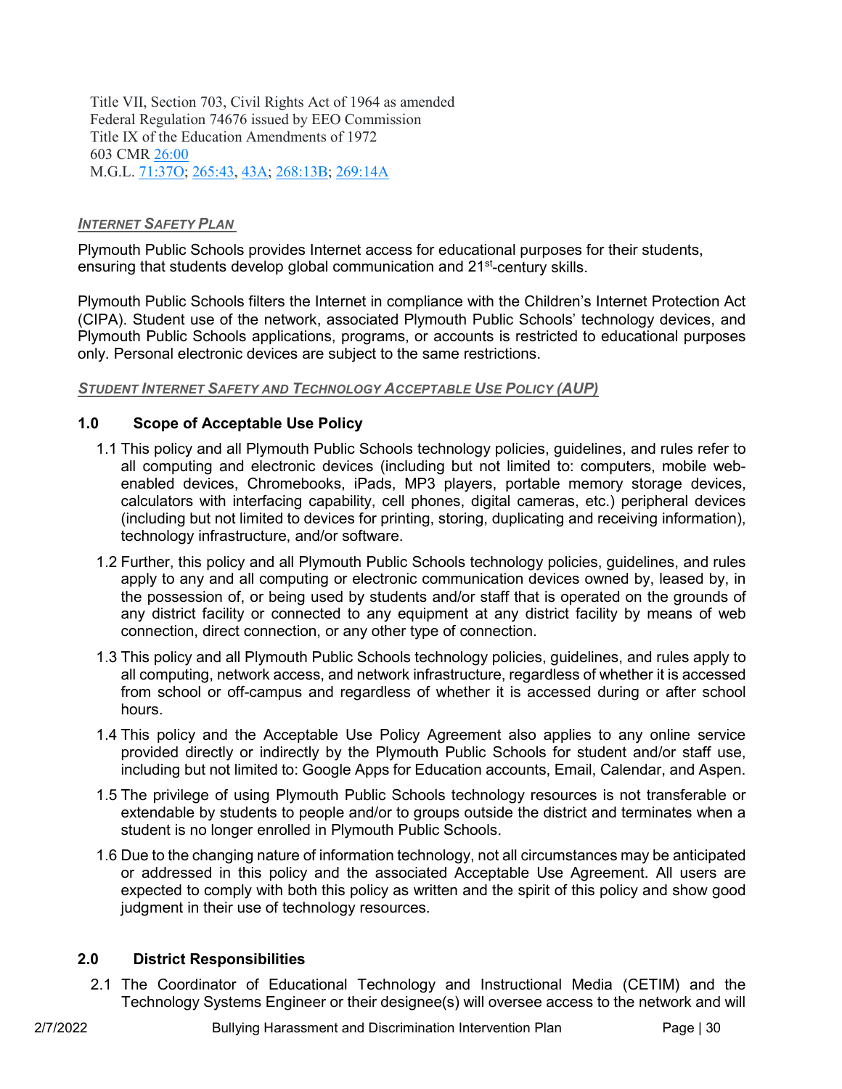Title VII, Section 703, Civil Rights Act of 1964 as amended Federal Regulation 74676 issued by EEO Commission Title IX of the Education Amendments of 1972 603 CMR [26:00](http://www.doe.mass.edu/lawsregs/603cmr26.html) M.G.L. [71:37O;](http://www.malegislature.gov/Laws/GeneralLaws/PartI/TitleXII/Chapter71/Section37O) [265:43,](http://www.malegislature.gov/Laws/GeneralLaws/PartI/TitleXII/Chapter265/Section43) [43A;](http://www.malegislature.gov/Laws/GeneralLaws/PartI/TitleXII/Chapter265/Section43A) [268:13B;](http://www.malegislature.gov/Laws/GeneralLaws/PartI/TitleXII/Chapter268/Section13B) [269:14A](http://www.malegislature.gov/Laws/GeneralLaws/PartI/TitleXII/Chapter269/Section14A)

#### *INTERNET SAFETY PLAN*

Plymouth Public Schools provides Internet access for educational purposes for their students, ensuring that students develop global communication and 21<sup>st-</sup>century skills.

Plymouth Public Schools filters the Internet in compliance with the Children's Internet Protection Act (CIPA). Student use of the network, associated Plymouth Public Schools' technology devices, and Plymouth Public Schools applications, programs, or accounts is restricted to educational purposes only. Personal electronic devices are subject to the same restrictions.

<span id="page-29-0"></span>*STUDENT INTERNET SAFETY AND TECHNOLOGY ACCEPTABLE USE POLICY (AUP)*

#### **1.0 Scope of Acceptable Use Policy**

- 1.1 This policy and all Plymouth Public Schools technology policies, guidelines, and rules refer to all computing and electronic devices (including but not limited to: computers, mobile webenabled devices, Chromebooks, iPads, MP3 players, portable memory storage devices, calculators with interfacing capability, cell phones, digital cameras, etc.) peripheral devices (including but not limited to devices for printing, storing, duplicating and receiving information), technology infrastructure, and/or software.
- 1.2 Further, this policy and all Plymouth Public Schools technology policies, guidelines, and rules apply to any and all computing or electronic communication devices owned by, leased by, in the possession of, or being used by students and/or staff that is operated on the grounds of any district facility or connected to any equipment at any district facility by means of web connection, direct connection, or any other type of connection.
- 1.3 This policy and all Plymouth Public Schools technology policies, guidelines, and rules apply to all computing, network access, and network infrastructure, regardless of whether it is accessed from school or off-campus and regardless of whether it is accessed during or after school hours.
- 1.4 This policy and the Acceptable Use Policy Agreement also applies to any online service provided directly or indirectly by the Plymouth Public Schools for student and/or staff use, including but not limited to: Google Apps for Education accounts, Email, Calendar, and Aspen.
- 1.5 The privilege of using Plymouth Public Schools technology resources is not transferable or extendable by students to people and/or to groups outside the district and terminates when a student is no longer enrolled in Plymouth Public Schools.
- 1.6 Due to the changing nature of information technology, not all circumstances may be anticipated or addressed in this policy and the associated Acceptable Use Agreement. All users are expected to comply with both this policy as written and the spirit of this policy and show good judgment in their use of technology resources.

#### **2.0 District Responsibilities**

2.1 The Coordinator of Educational Technology and Instructional Media (CETIM) and the Technology Systems Engineer or their designee(s) will oversee access to the network and will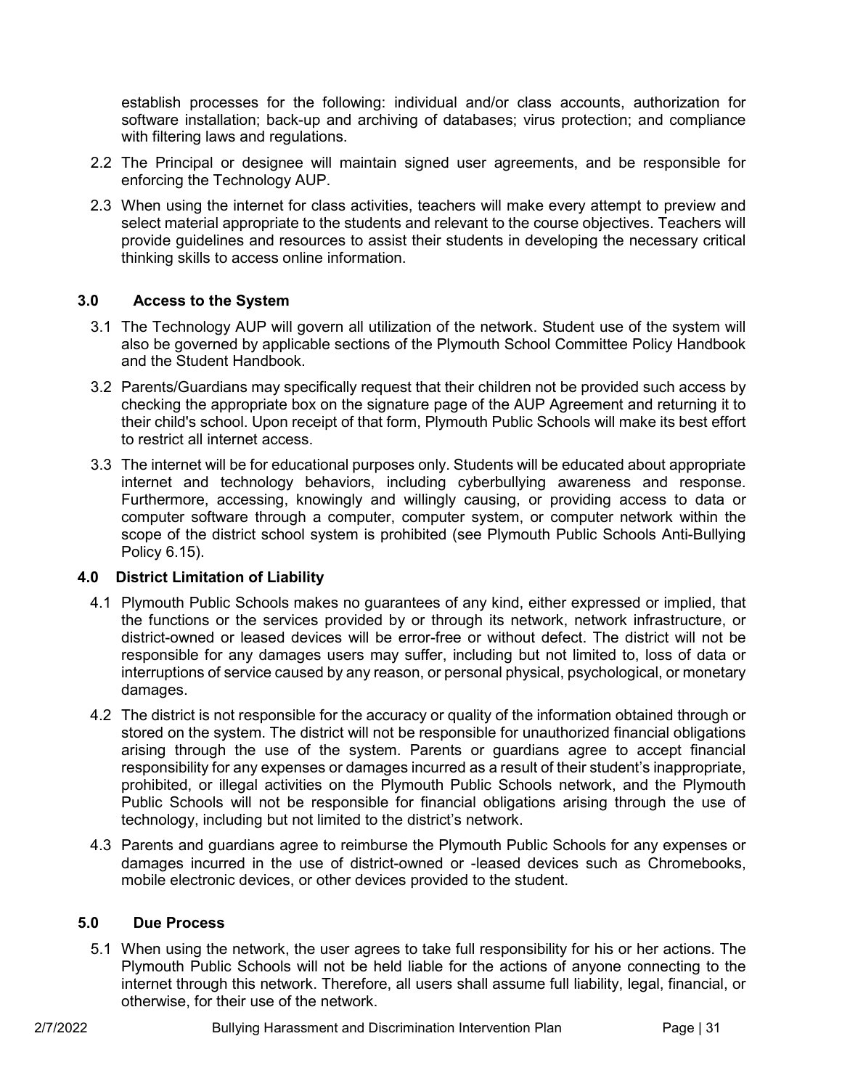establish processes for the following: individual and/or class accounts, authorization for software installation; back-up and archiving of databases; virus protection; and compliance with filtering laws and regulations.

- 2.2 The Principal or designee will maintain signed user agreements, and be responsible for enforcing the Technology AUP.
- 2.3 When using the internet for class activities, teachers will make every attempt to preview and select material appropriate to the students and relevant to the course objectives. Teachers will provide guidelines and resources to assist their students in developing the necessary critical thinking skills to access online information.

#### **3.0 Access to the System**

- 3.1 The Technology AUP will govern all utilization of the network. Student use of the system will also be governed by applicable sections of the Plymouth School Committee Policy Handbook and the Student Handbook.
- 3.2 Parents/Guardians may specifically request that their children not be provided such access by checking the appropriate box on the signature page of the AUP Agreement and returning it to their child's school. Upon receipt of that form, Plymouth Public Schools will make its best effort to restrict all internet access.
- 3.3 The internet will be for educational purposes only. Students will be educated about appropriate internet and technology behaviors, including cyberbullying awareness and response. Furthermore, accessing, knowingly and willingly causing, or providing access to data or computer software through a computer, computer system, or computer network within the scope of the district school system is prohibited (see Plymouth Public Schools Anti-Bullying Policy 6.15).

#### **4.0 District Limitation of Liability**

- 4.1 Plymouth Public Schools makes no guarantees of any kind, either expressed or implied, that the functions or the services provided by or through its network, network infrastructure, or district-owned or leased devices will be error-free or without defect. The district will not be responsible for any damages users may suffer, including but not limited to, loss of data or interruptions of service caused by any reason, or personal physical, psychological, or monetary damages.
- 4.2 The district is not responsible for the accuracy or quality of the information obtained through or stored on the system. The district will not be responsible for unauthorized financial obligations arising through the use of the system. Parents or guardians agree to accept financial responsibility for any expenses or damages incurred as a result of their student's inappropriate, prohibited, or illegal activities on the Plymouth Public Schools network, and the Plymouth Public Schools will not be responsible for financial obligations arising through the use of technology, including but not limited to the district's network.
- 4.3 Parents and guardians agree to reimburse the Plymouth Public Schools for any expenses or damages incurred in the use of district-owned or -leased devices such as Chromebooks, mobile electronic devices, or other devices provided to the student.

#### **5.0 Due Process**

5.1 When using the network, the user agrees to take full responsibility for his or her actions. The Plymouth Public Schools will not be held liable for the actions of anyone connecting to the internet through this network. Therefore, all users shall assume full liability, legal, financial, or otherwise, for their use of the network.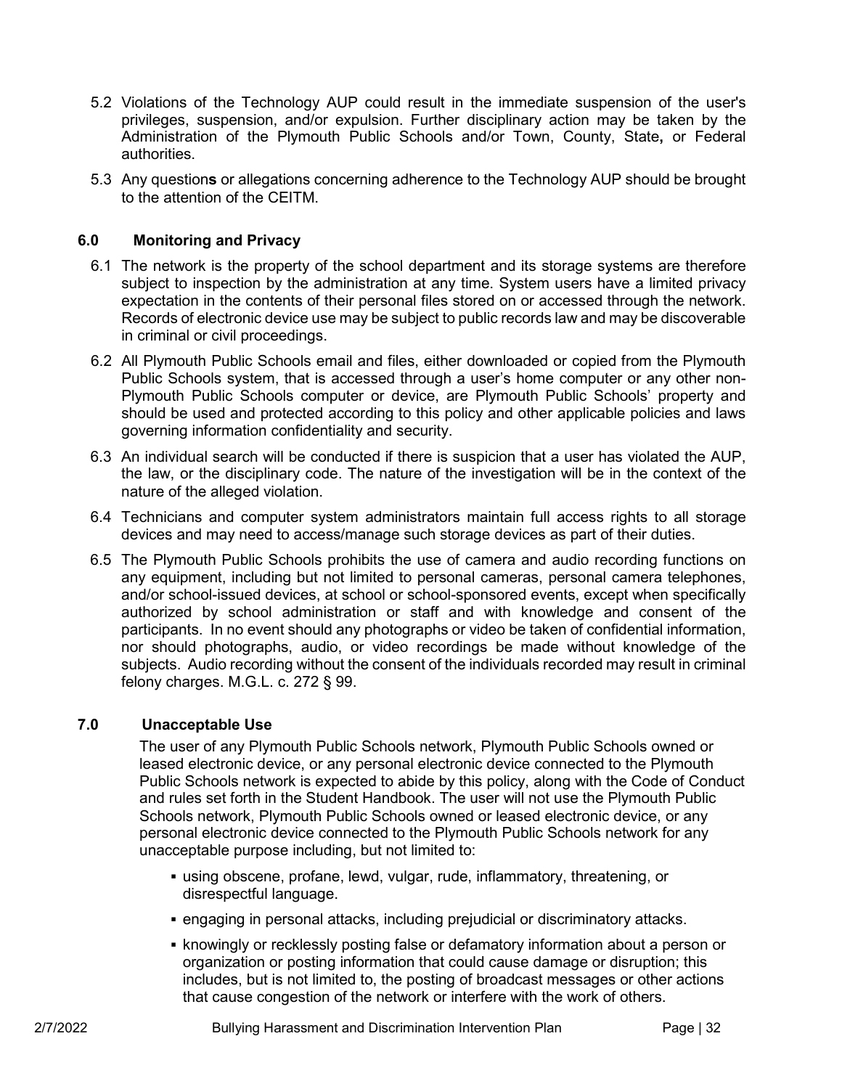- 5.2 Violations of the Technology AUP could result in the immediate suspension of the user's privileges, suspension, and/or expulsion. Further disciplinary action may be taken by the Administration of the Plymouth Public Schools and/or Town, County, State**,** or Federal authorities.
- 5.3 Any question**s** or allegations concerning adherence to the Technology AUP should be brought to the attention of the CEITM.

#### **6.0 Monitoring and Privacy**

- 6.1 The network is the property of the school department and its storage systems are therefore subject to inspection by the administration at any time. System users have a limited privacy expectation in the contents of their personal files stored on or accessed through the network. Records of electronic device use may be subject to public records law and may be discoverable in criminal or civil proceedings.
- 6.2 All Plymouth Public Schools email and files, either downloaded or copied from the Plymouth Public Schools system, that is accessed through a user's home computer or any other non-Plymouth Public Schools computer or device, are Plymouth Public Schools' property and should be used and protected according to this policy and other applicable policies and laws governing information confidentiality and security.
- 6.3 An individual search will be conducted if there is suspicion that a user has violated the AUP, the law, or the disciplinary code. The nature of the investigation will be in the context of the nature of the alleged violation.
- 6.4 Technicians and computer system administrators maintain full access rights to all storage devices and may need to access/manage such storage devices as part of their duties.
- 6.5 The Plymouth Public Schools prohibits the use of camera and audio recording functions on any equipment, including but not limited to personal cameras, personal camera telephones, and/or school-issued devices, at school or school-sponsored events, except when specifically authorized by school administration or staff and with knowledge and consent of the participants. In no event should any photographs or video be taken of confidential information, nor should photographs, audio, or video recordings be made without knowledge of the subjects. Audio recording without the consent of the individuals recorded may result in criminal felony charges. M.G.L. c. 272 § 99.

#### **7.0 Unacceptable Use**

The user of any Plymouth Public Schools network, Plymouth Public Schools owned or leased electronic device, or any personal electronic device connected to the Plymouth Public Schools network is expected to abide by this policy, along with the Code of Conduct and rules set forth in the Student Handbook. The user will not use the Plymouth Public Schools network, Plymouth Public Schools owned or leased electronic device, or any personal electronic device connected to the Plymouth Public Schools network for any unacceptable purpose including, but not limited to:

- using obscene, profane, lewd, vulgar, rude, inflammatory, threatening, or disrespectful language.
- engaging in personal attacks, including prejudicial or discriminatory attacks.
- knowingly or recklessly posting false or defamatory information about a person or organization or posting information that could cause damage or disruption; this includes, but is not limited to, the posting of broadcast messages or other actions that cause congestion of the network or interfere with the work of others.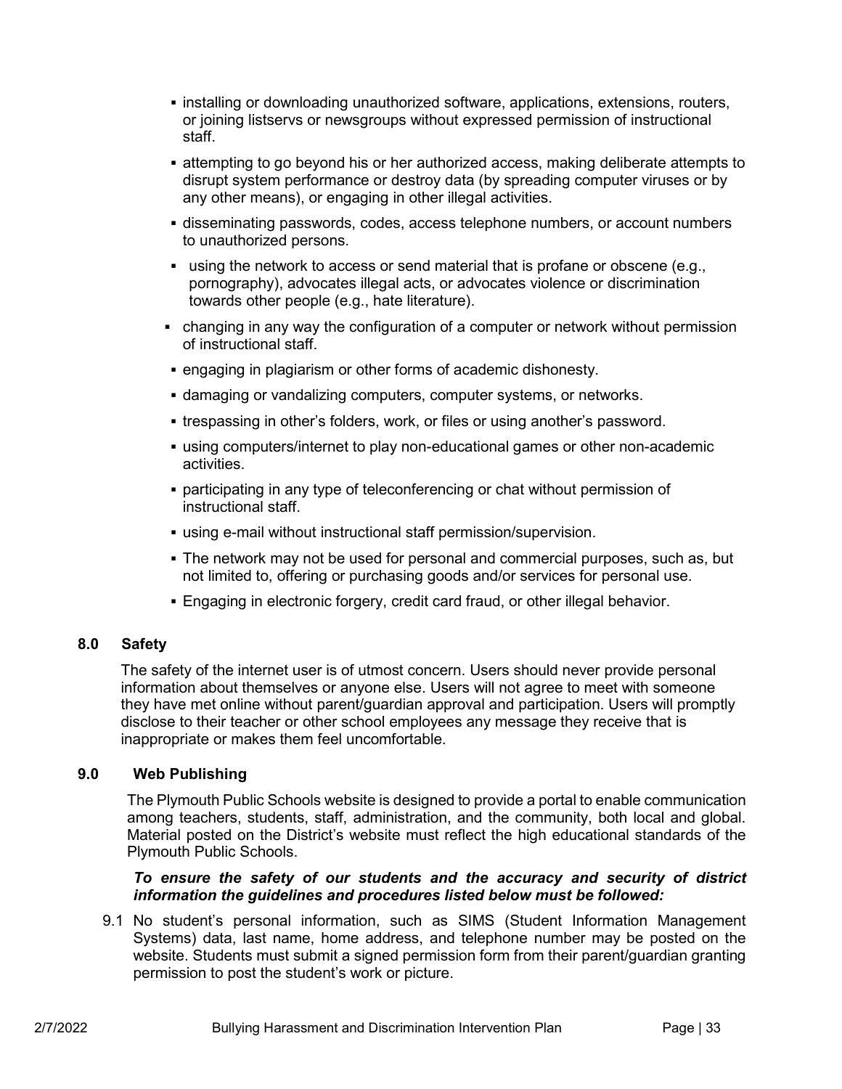- installing or downloading unauthorized software, applications, extensions, routers, or joining listservs or newsgroups without expressed permission of instructional staff.
- attempting to go beyond his or her authorized access, making deliberate attempts to disrupt system performance or destroy data (by spreading computer viruses or by any other means), or engaging in other illegal activities.
- disseminating passwords, codes, access telephone numbers, or account numbers to unauthorized persons.
- using the network to access or send material that is profane or obscene (e.g., pornography), advocates illegal acts, or advocates violence or discrimination towards other people (e.g., hate literature).
- changing in any way the configuration of a computer or network without permission of instructional staff.
- engaging in plagiarism or other forms of academic dishonesty.
- damaging or vandalizing computers, computer systems, or networks.
- trespassing in other's folders, work, or files or using another's password.
- using computers/internet to play non-educational games or other non-academic activities.
- participating in any type of teleconferencing or chat without permission of instructional staff.
- using e-mail without instructional staff permission/supervision.
- The network may not be used for personal and commercial purposes, such as, but not limited to, offering or purchasing goods and/or services for personal use.
- Engaging in electronic forgery, credit card fraud, or other illegal behavior.

#### **8.0 Safety**

The safety of the internet user is of utmost concern. Users should never provide personal information about themselves or anyone else. Users will not agree to meet with someone they have met online without parent/guardian approval and participation. Users will promptly disclose to their teacher or other school employees any message they receive that is inappropriate or makes them feel uncomfortable.

#### **9.0 Web Publishing**

The Plymouth Public Schools website is designed to provide a portal to enable communication among teachers, students, staff, administration, and the community, both local and global. Material posted on the District's website must reflect the high educational standards of the Plymouth Public Schools.

#### *To ensure the safety of our students and the accuracy and security of district information the guidelines and procedures listed below must be followed:*

9.1 No student's personal information, such as SIMS (Student Information Management Systems) data, last name, home address, and telephone number may be posted on the website. Students must submit a signed permission form from their parent/guardian granting permission to post the student's work or picture.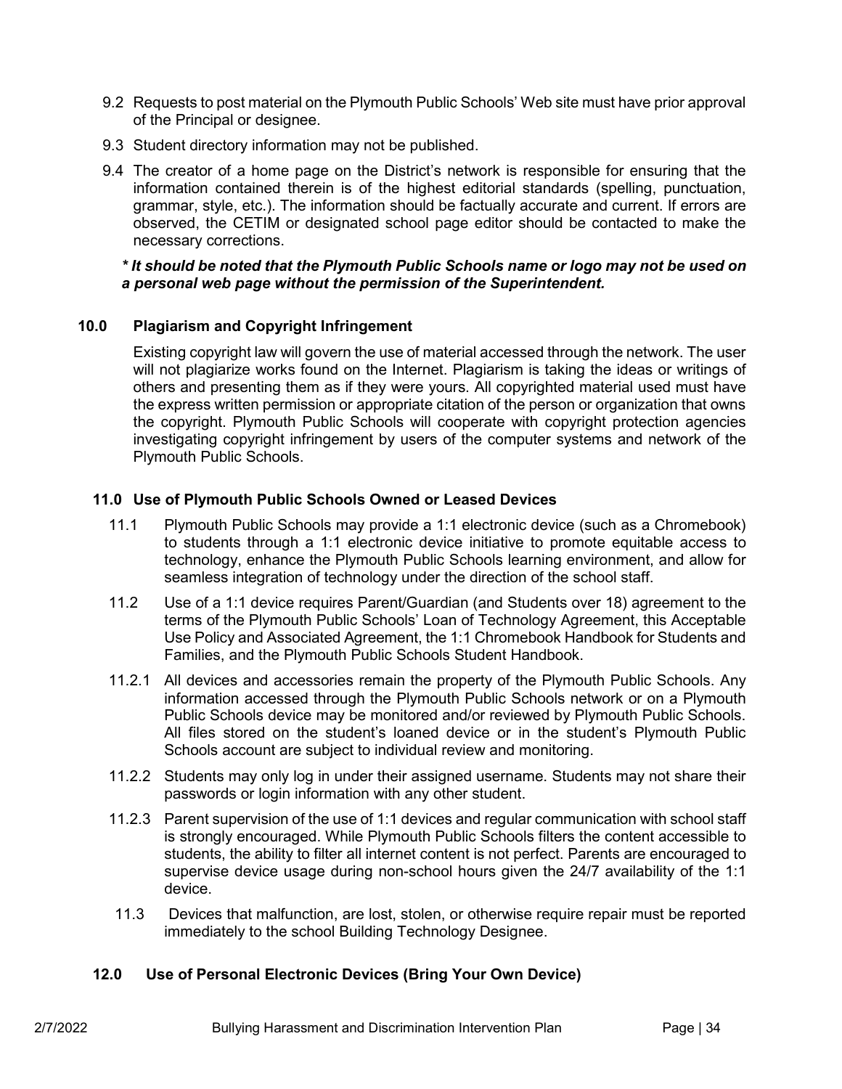- 9.2 Requests to post material on the Plymouth Public Schools' Web site must have prior approval of the Principal or designee.
- 9.3 Student directory information may not be published.
- 9.4 The creator of a home page on the District's network is responsible for ensuring that the information contained therein is of the highest editorial standards (spelling, punctuation, grammar, style, etc.). The information should be factually accurate and current. If errors are observed, the CETIM or designated school page editor should be contacted to make the necessary corrections.

#### *\* It should be noted that the Plymouth Public Schools name or logo may not be used on a personal web page without the permission of the Superintendent.*

#### **10.0 Plagiarism and Copyright Infringement**

Existing copyright law will govern the use of material accessed through the network. The user will not plagiarize works found on the Internet. Plagiarism is taking the ideas or writings of others and presenting them as if they were yours. All copyrighted material used must have the express written permission or appropriate citation of the person or organization that owns the copyright. Plymouth Public Schools will cooperate with copyright protection agencies investigating copyright infringement by users of the computer systems and network of the Plymouth Public Schools.

#### **11.0 Use of Plymouth Public Schools Owned or Leased Devices**

- 11.1 Plymouth Public Schools may provide a 1:1 electronic device (such as a Chromebook) to students through a 1:1 electronic device initiative to promote equitable access to technology, enhance the Plymouth Public Schools learning environment, and allow for seamless integration of technology under the direction of the school staff.
- 11.2 Use of a 1:1 device requires Parent/Guardian (and Students over 18) agreement to the terms of the Plymouth Public Schools' Loan of Technology Agreement, this Acceptable Use Policy and Associated Agreement, the 1:1 Chromebook Handbook for Students and Families, and the Plymouth Public Schools Student Handbook.
- 11.2.1 All devices and accessories remain the property of the Plymouth Public Schools. Any information accessed through the Plymouth Public Schools network or on a Plymouth Public Schools device may be monitored and/or reviewed by Plymouth Public Schools. All files stored on the student's loaned device or in the student's Plymouth Public Schools account are subject to individual review and monitoring.
- 11.2.2 Students may only log in under their assigned username. Students may not share their passwords or login information with any other student.
- 11.2.3 Parent supervision of the use of 1:1 devices and regular communication with school staff is strongly encouraged. While Plymouth Public Schools filters the content accessible to students, the ability to filter all internet content is not perfect. Parents are encouraged to supervise device usage during non-school hours given the 24/7 availability of the 1:1 device.
- 11.3 Devices that malfunction, are lost, stolen, or otherwise require repair must be reported immediately to the school Building Technology Designee.

#### **12.0 Use of Personal Electronic Devices (Bring Your Own Device)**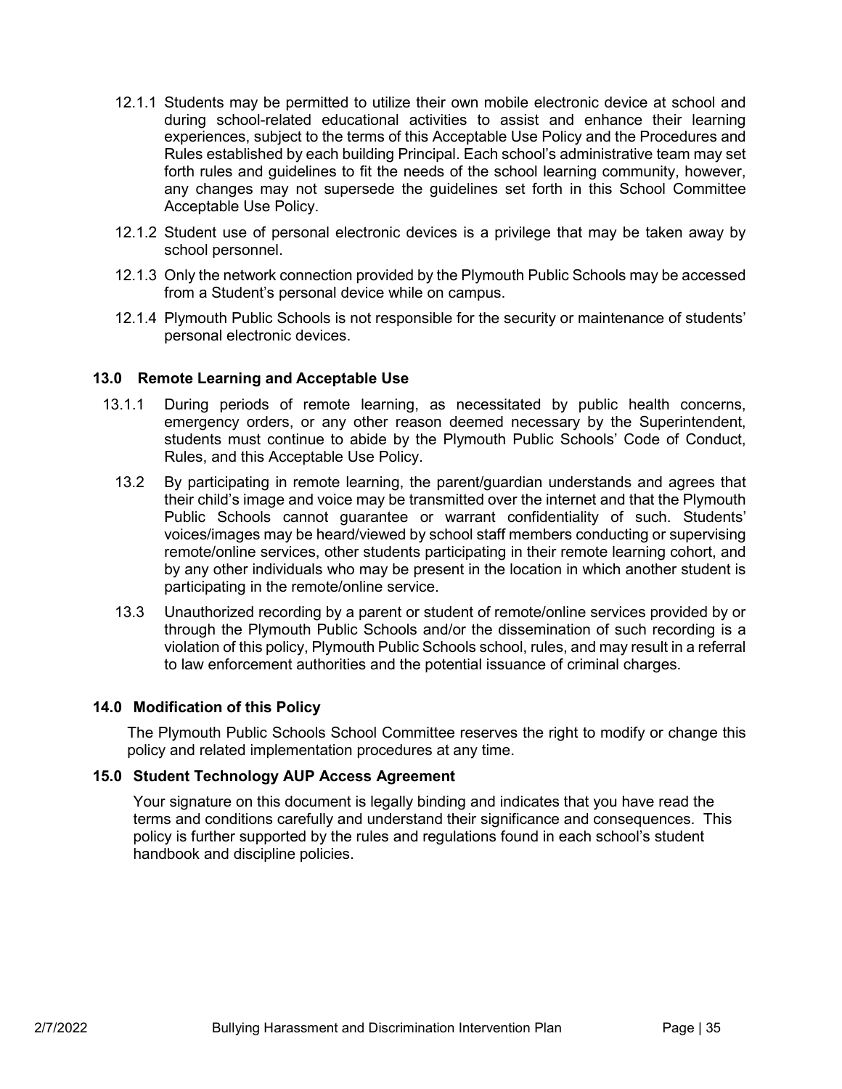- 12.1.1 Students may be permitted to utilize their own mobile electronic device at school and during school-related educational activities to assist and enhance their learning experiences, subject to the terms of this Acceptable Use Policy and the Procedures and Rules established by each building Principal. Each school's administrative team may set forth rules and guidelines to fit the needs of the school learning community, however, any changes may not supersede the guidelines set forth in this School Committee Acceptable Use Policy.
- 12.1.2 Student use of personal electronic devices is a privilege that may be taken away by school personnel.
- 12.1.3 Only the network connection provided by the Plymouth Public Schools may be accessed from a Student's personal device while on campus.
- 12.1.4 Plymouth Public Schools is not responsible for the security or maintenance of students' personal electronic devices.

#### **13.0 Remote Learning and Acceptable Use**

- 13.1.1 During periods of remote learning, as necessitated by public health concerns, emergency orders, or any other reason deemed necessary by the Superintendent, students must continue to abide by the Plymouth Public Schools' Code of Conduct, Rules, and this Acceptable Use Policy.
	- 13.2 By participating in remote learning, the parent/guardian understands and agrees that their child's image and voice may be transmitted over the internet and that the Plymouth Public Schools cannot guarantee or warrant confidentiality of such. Students' voices/images may be heard/viewed by school staff members conducting or supervising remote/online services, other students participating in their remote learning cohort, and by any other individuals who may be present in the location in which another student is participating in the remote/online service.
	- 13.3 Unauthorized recording by a parent or student of remote/online services provided by or through the Plymouth Public Schools and/or the dissemination of such recording is a violation of this policy, Plymouth Public Schools school, rules, and may result in a referral to law enforcement authorities and the potential issuance of criminal charges.

#### **14.0 Modification of this Policy**

The Plymouth Public Schools School Committee reserves the right to modify or change this policy and related implementation procedures at any time.

#### **15.0 Student Technology AUP Access Agreement**

Your signature on this document is legally binding and indicates that you have read the terms and conditions carefully and understand their significance and consequences. This policy is further supported by the rules and regulations found in each school's student handbook and discipline policies.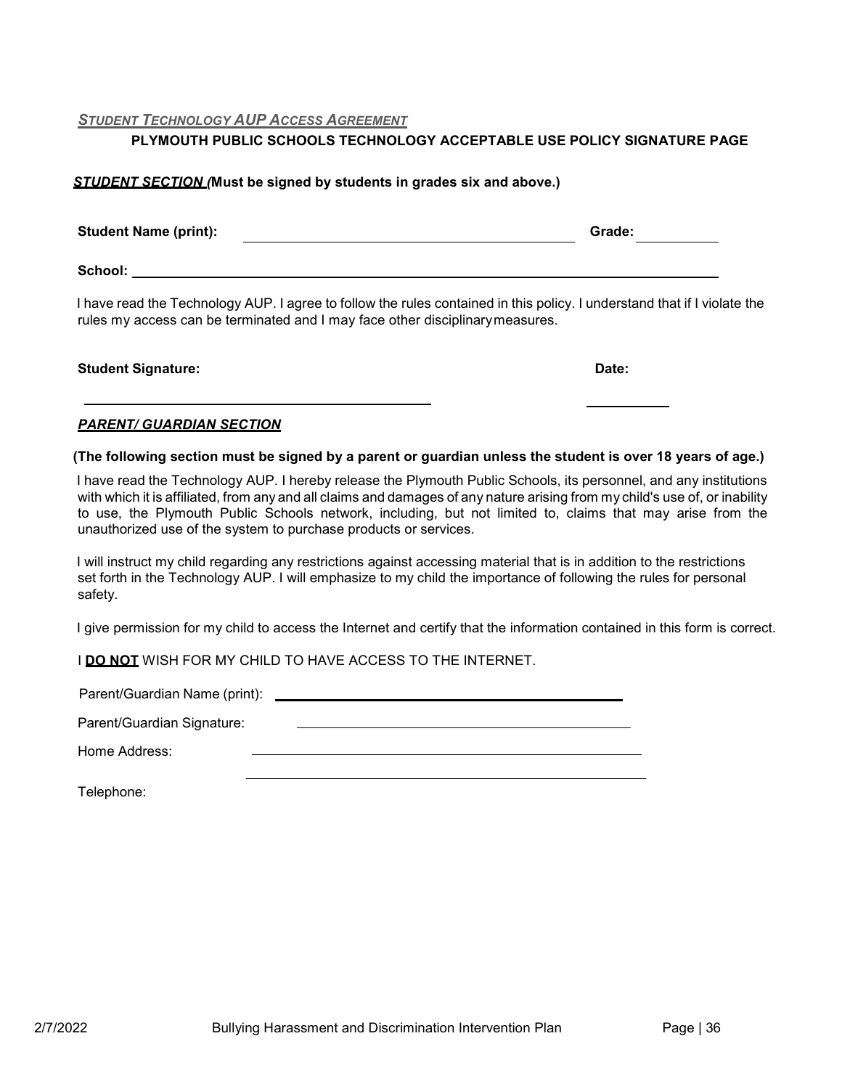#### <span id="page-35-0"></span>*STUDENT TECHNOLOGY AUP ACCESS AGREEMENT*

### **PLYMOUTH PUBLIC SCHOOLS TECHNOLOGY ACCEPTABLE USE POLICY SIGNATURE PAGE**

#### *STUDENT SECTION (***Must be signed by students in grades six and above.)**

**Student Name (print): Grade:**

**School:**

I have read the Technology AUP. I agree to follow the rules contained in this policy. I understand that if I violate the rules my access can be terminated and I may face other disciplinarymeasures.

#### **Student Signature: Date:**

#### *PARENT/ GUARDIAN SECTION*

#### **(The following section must be signed by a parent or guardian unless the student is over 18 years of age.)**

I have read the Technology AUP. I hereby release the Plymouth Public Schools, its personnel, and any institutions with which it is affiliated, from any and all claims and damages of any nature arising from my child's use of, or inability to use, the Plymouth Public Schools network, including, but not limited to, claims that may arise from the unauthorized use of the system to purchase products or services.

I will instruct my child regarding any restrictions against accessing material that is in addition to the restrictions set forth in the Technology AUP. I will emphasize to my child the importance of following the rules for personal safety.

I give permission for my child to access the Internet and certify that the information contained in this form is correct.

#### I **DO NOT** WISH FOR MY CHILD TO HAVE ACCESS TO THE INTERNET.

Parent/Guardian Name (print): Parent/Guardian Signature:

Home Address:

Telephone: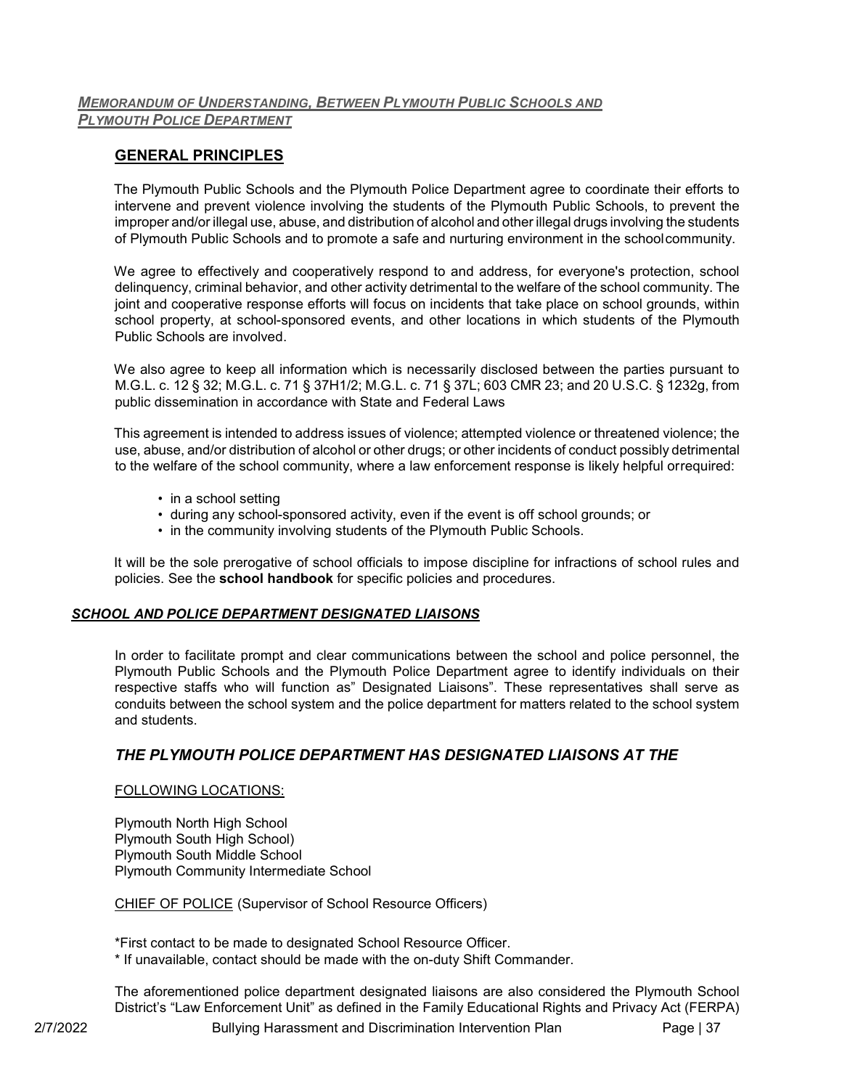#### <span id="page-36-1"></span><span id="page-36-0"></span>*MEMORANDUM OF UNDERSTANDING, BETWEEN PLYMOUTH PUBLIC SCHOOLS AND PLYMOUTH POLICE DEPARTMENT*

#### **GENERAL PRINCIPLES**

The Plymouth Public Schools and the Plymouth Police Department agree to coordinate their efforts to intervene and prevent violence involving the students of the Plymouth Public Schools, to prevent the improper and/or illegal use, abuse, and distribution of alcohol and other illegal drugs involving the students of Plymouth Public Schools and to promote a safe and nurturing environment in the schoolcommunity.

We agree to effectively and cooperatively respond to and address, for everyone's protection, school delinquency, criminal behavior, and other activity detrimental to the welfare of the school community. The joint and cooperative response efforts will focus on incidents that take place on school grounds, within school property, at school-sponsored events, and other locations in which students of the Plymouth Public Schools are involved.

We also agree to keep all information which is necessarily disclosed between the parties pursuant to M.G.L. c. 12 § 32; M.G.L. c. 71 § 37H1/2; M.G.L. c. 71 § 37L; 603 CMR 23; and 20 U.S.C. § 1232g, from public dissemination in accordance with State and Federal Laws

This agreement is intended to address issues of violence; attempted violence or threatened violence; the use, abuse, and/or distribution of alcohol or other drugs; or other incidents of conduct possibly detrimental to the welfare of the school community, where a law enforcement response is likely helpful orrequired:

- in a school setting
- during any school-sponsored activity, even if the event is off school grounds; or
- in the community involving students of the Plymouth Public Schools.

It will be the sole prerogative of school officials to impose discipline for infractions of school rules and policies. See the **school handbook** for specific policies and procedures.

#### <span id="page-36-2"></span>*SCHOOL AND POLICE DEPARTMENT DESIGNATED LIAISONS*

In order to facilitate prompt and clear communications between the school and police personnel, the Plymouth Public Schools and the Plymouth Police Department agree to identify individuals on their respective staffs who will function as" Designated Liaisons". These representatives shall serve as conduits between the school system and the police department for matters related to the school system and students.

#### *THE PLYMOUTH POLICE DEPARTMENT HAS DESIGNATED LIAISONS AT THE*

FOLLOWING LOCATIONS:

Plymouth North High School Plymouth South High School) Plymouth South Middle School Plymouth Community Intermediate School

CHIEF OF POLICE (Supervisor of School Resource Officers)

\*First contact to be made to designated School Resource Officer.

\* If unavailable, contact should be made with the on-duty Shift Commander.

The aforementioned police department designated liaisons are also considered the Plymouth School District's "Law Enforcement Unit" as defined in the Family Educational Rights and Privacy Act (FERPA)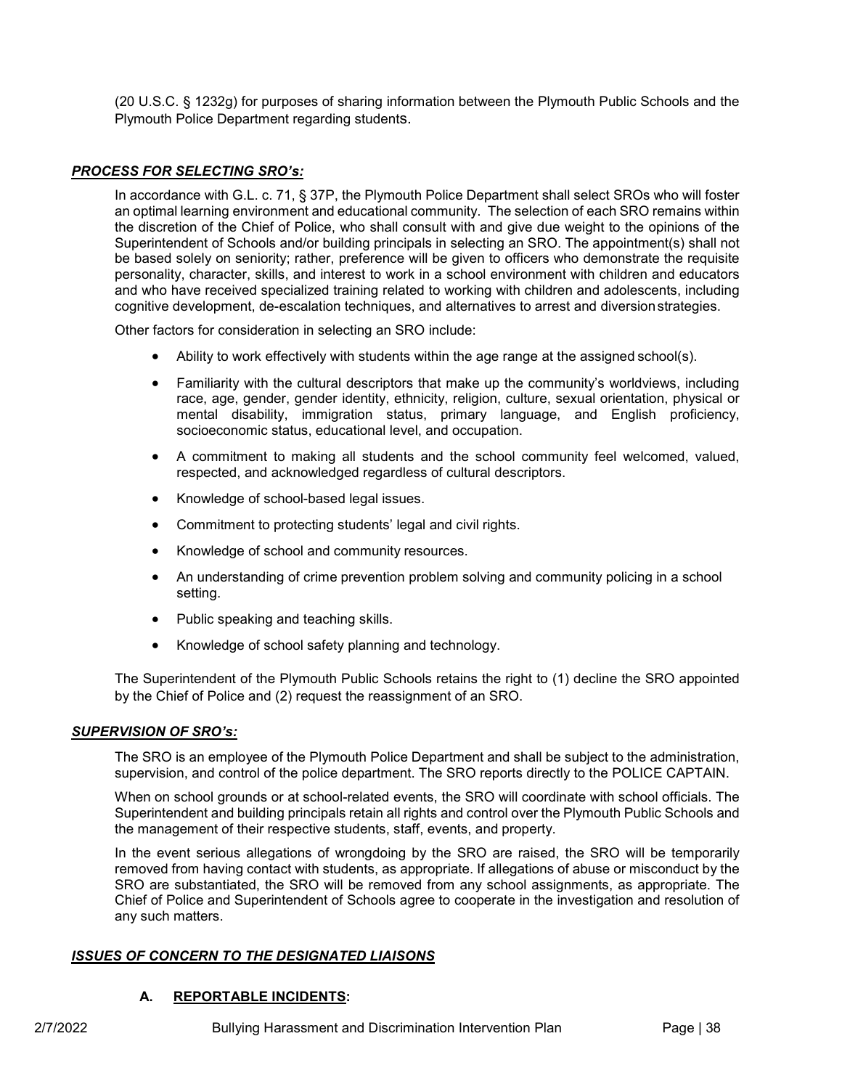(20 U.S.C. § 1232g) for purposes of sharing information between the Plymouth Public Schools and the Plymouth Police Department regarding students.

#### <span id="page-37-0"></span>*PROCESS FOR SELECTING SRO's:*

In accordance with G.L. c. 71, § 37P, the Plymouth Police Department shall select SROs who will foster an optimal learning environment and educational community. The selection of each SRO remains within the discretion of the Chief of Police, who shall consult with and give due weight to the opinions of the Superintendent of Schools and/or building principals in selecting an SRO. The appointment(s) shall not be based solely on seniority; rather, preference will be given to officers who demonstrate the requisite personality, character, skills, and interest to work in a school environment with children and educators and who have received specialized training related to working with children and adolescents, including cognitive development, de-escalation techniques, and alternatives to arrest and diversionstrategies.

Other factors for consideration in selecting an SRO include:

- Ability to work effectively with students within the age range at the assigned school(s).
- Familiarity with the cultural descriptors that make up the community's worldviews, including race, age, gender, gender identity, ethnicity, religion, culture, sexual orientation, physical or mental disability, immigration status, primary language, and English proficiency, socioeconomic status, educational level, and occupation.
- A commitment to making all students and the school community feel welcomed, valued, respected, and acknowledged regardless of cultural descriptors.
- Knowledge of school-based legal issues.
- Commitment to protecting students' legal and civil rights.
- Knowledge of school and community resources.
- An understanding of crime prevention problem solving and community policing in a school setting.
- Public speaking and teaching skills.
- Knowledge of school safety planning and technology.

The Superintendent of the Plymouth Public Schools retains the right to (1) decline the SRO appointed by the Chief of Police and (2) request the reassignment of an SRO.

#### <span id="page-37-1"></span>*SUPERVISION OF SRO's:*

The SRO is an employee of the Plymouth Police Department and shall be subject to the administration, supervision, and control of the police department. The SRO reports directly to the POLICE CAPTAIN.

When on school grounds or at school-related events, the SRO will coordinate with school officials. The Superintendent and building principals retain all rights and control over the Plymouth Public Schools and the management of their respective students, staff, events, and property.

In the event serious allegations of wrongdoing by the SRO are raised, the SRO will be temporarily removed from having contact with students, as appropriate. If allegations of abuse or misconduct by the SRO are substantiated, the SRO will be removed from any school assignments, as appropriate. The Chief of Police and Superintendent of Schools agree to cooperate in the investigation and resolution of any such matters.

#### <span id="page-37-2"></span>*ISSUES OF CONCERN TO THE DESIGNATED LIAISONS*

#### **A. REPORTABLE INCIDENTS:**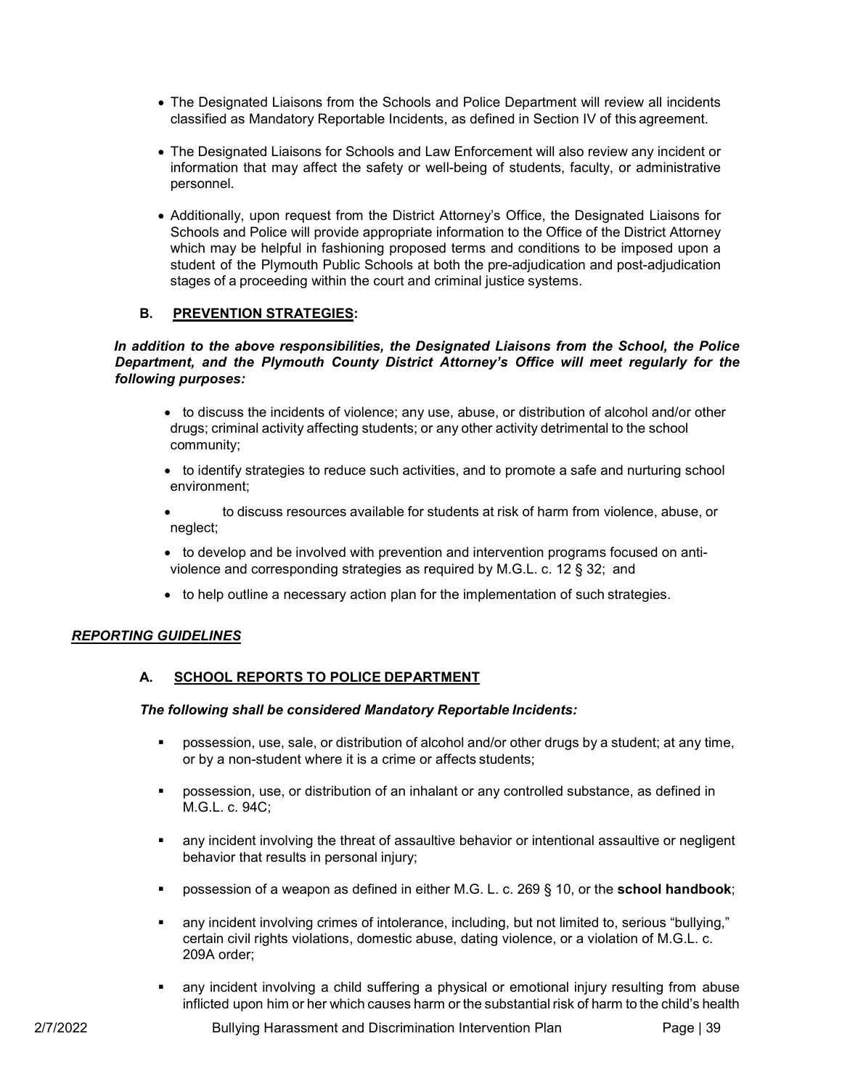- The Designated Liaisons from the Schools and Police Department will review all incidents classified as Mandatory Reportable Incidents, as defined in Section IV of this agreement.
- The Designated Liaisons for Schools and Law Enforcement will also review any incident or information that may affect the safety or well-being of students, faculty, or administrative personnel.
- Additionally, upon request from the District Attorney's Office, the Designated Liaisons for Schools and Police will provide appropriate information to the Office of the District Attorney which may be helpful in fashioning proposed terms and conditions to be imposed upon a student of the Plymouth Public Schools at both the pre-adjudication and post-adjudication stages of a proceeding within the court and criminal justice systems.

#### **B. PREVENTION STRATEGIES:**

#### *In addition to the above responsibilities, the Designated Liaisons from the School, the Police Department, and the Plymouth County District Attorney's Office will meet regularly for the following purposes:*

- to discuss the incidents of violence; any use, abuse, or distribution of alcohol and/or other drugs; criminal activity affecting students; or any other activity detrimental to the school community;
- to identify strategies to reduce such activities, and to promote a safe and nurturing school environment;
- to discuss resources available for students at risk of harm from violence, abuse, or neglect;
- to develop and be involved with prevention and intervention programs focused on antiviolence and corresponding strategies as required by M.G.L. c. 12 § 32; and
- to help outline a necessary action plan for the implementation of such strategies.

#### <span id="page-38-0"></span>*REPORTING GUIDELINES*

#### **A. SCHOOL REPORTS TO POLICE DEPARTMENT**

#### *The following shall be considered Mandatory Reportable Incidents:*

- possession, use, sale, or distribution of alcohol and/or other drugs by a student; at any time, or by a non-student where it is a crime or affects students;
- possession, use, or distribution of an inhalant or any controlled substance, as defined in M.G.L. c. 94C;
- any incident involving the threat of assaultive behavior or intentional assaultive or negligent behavior that results in personal injury;
- possession of a weapon as defined in either M.G. L. c. 269 § 10, or the **school handbook**;
- any incident involving crimes of intolerance, including, but not limited to, serious "bullying," certain civil rights violations, domestic abuse, dating violence, or a violation of M.G.L. c. 209A order;
- any incident involving a child suffering a physical or emotional injury resulting from abuse inflicted upon him or her which causes harm or the substantial risk of harm to the child's health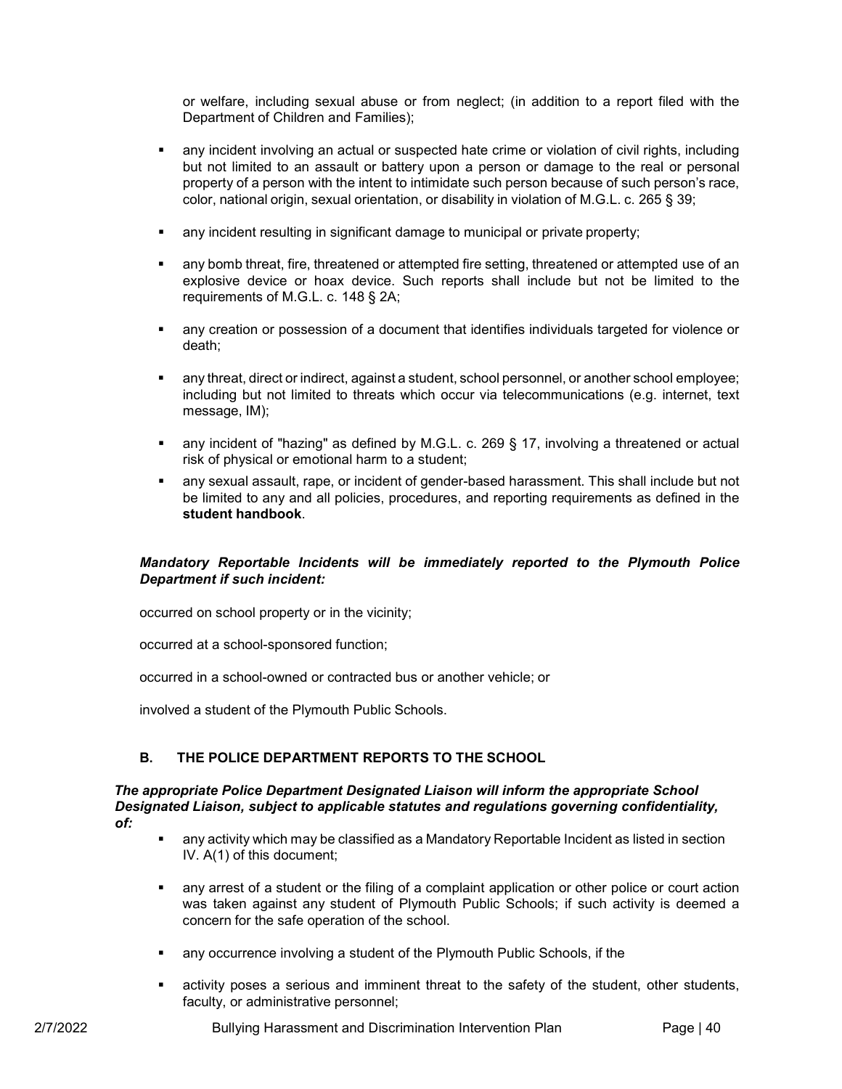or welfare, including sexual abuse or from neglect; (in addition to a report filed with the Department of Children and Families);

- any incident involving an actual or suspected hate crime or violation of civil rights, including but not limited to an assault or battery upon a person or damage to the real or personal property of a person with the intent to intimidate such person because of such person's race, color, national origin, sexual orientation, or disability in violation of M.G.L. c. 265 § 39;
- any incident resulting in significant damage to municipal or private property;
- any bomb threat, fire, threatened or attempted fire setting, threatened or attempted use of an explosive device or hoax device. Such reports shall include but not be limited to the requirements of M.G.L. c. 148 § 2A;
- any creation or possession of a document that identifies individuals targeted for violence or death;
- any threat, direct or indirect, against a student, school personnel, or another school employee; including but not limited to threats which occur via telecommunications (e.g. internet, text message, IM);
- any incident of "hazing" as defined by M.G.L. c. 269 § 17, involving a threatened or actual risk of physical or emotional harm to a student;
- any sexual assault, rape, or incident of gender-based harassment. This shall include but not be limited to any and all policies, procedures, and reporting requirements as defined in the **student handbook**.

#### *Mandatory Reportable Incidents will be immediately reported to the Plymouth Police Department if such incident:*

occurred on school property or in the vicinity;

occurred at a school-sponsored function;

occurred in a school-owned or contracted bus or another vehicle; or

involved a student of the Plymouth Public Schools.

#### **B. THE POLICE DEPARTMENT REPORTS TO THE SCHOOL**

#### *The appropriate Police Department Designated Liaison will inform the appropriate School Designated Liaison, subject to applicable statutes and regulations governing confidentiality, of:*

- 
- any activity which may be classified as a Mandatory Reportable Incident as listed in section IV. A(1) of this document;
- any arrest of a student or the filing of a complaint application or other police or court action was taken against any student of Plymouth Public Schools; if such activity is deemed a concern for the safe operation of the school.
- any occurrence involving a student of the Plymouth Public Schools, if the
- activity poses a serious and imminent threat to the safety of the student, other students, faculty, or administrative personnel;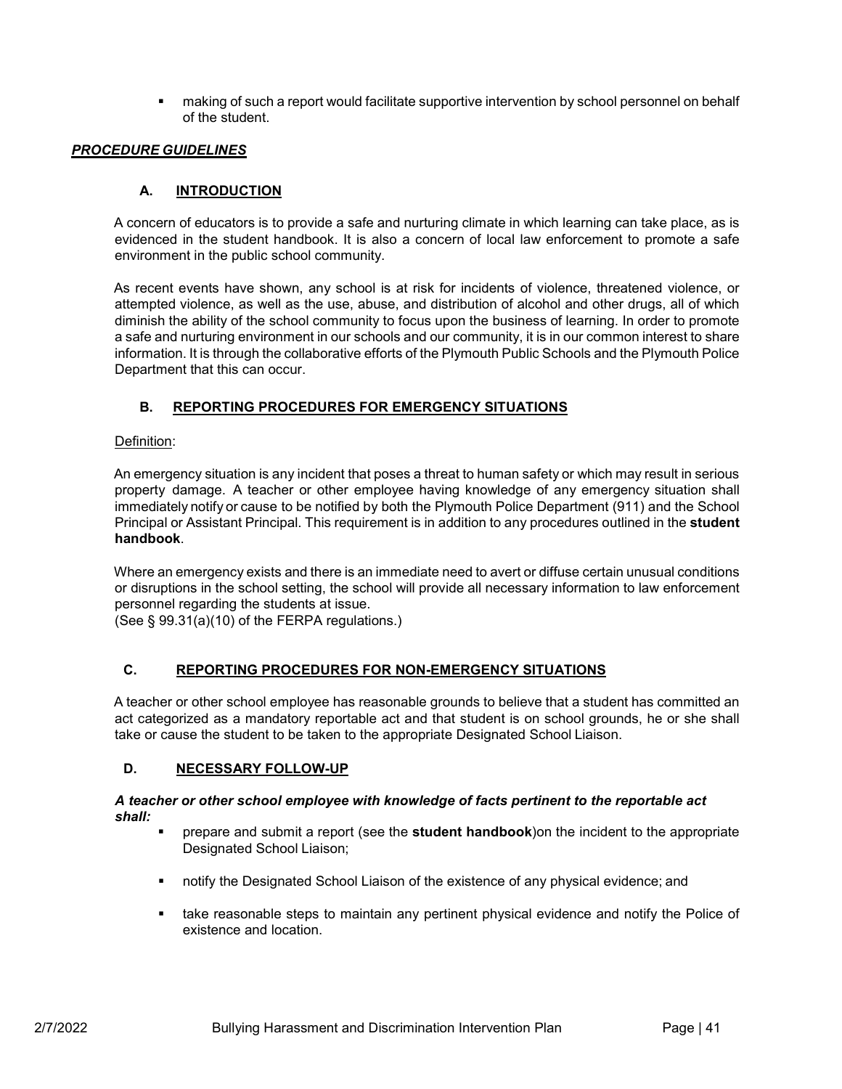making of such a report would facilitate supportive intervention by school personnel on behalf of the student.

#### <span id="page-40-0"></span>*PROCEDURE GUIDELINES*

#### **A. INTRODUCTION**

A concern of educators is to provide a safe and nurturing climate in which learning can take place, as is evidenced in the student handbook. It is also a concern of local law enforcement to promote a safe environment in the public school community.

As recent events have shown, any school is at risk for incidents of violence, threatened violence, or attempted violence, as well as the use, abuse, and distribution of alcohol and other drugs, all of which diminish the ability of the school community to focus upon the business of learning. In order to promote a safe and nurturing environment in our schools and our community, it is in our common interest to share information. It is through the collaborative efforts of the Plymouth Public Schools and the Plymouth Police Department that this can occur.

#### **B. REPORTING PROCEDURES FOR EMERGENCY SITUATIONS**

#### Definition:

An emergency situation is any incident that poses a threat to human safety or which may result in serious property damage. A teacher or other employee having knowledge of any emergency situation shall immediately notify or cause to be notified by both the Plymouth Police Department (911) and the School Principal or Assistant Principal. This requirement is in addition to any procedures outlined in the **student handbook**.

Where an emergency exists and there is an immediate need to avert or diffuse certain unusual conditions or disruptions in the school setting, the school will provide all necessary information to law enforcement personnel regarding the students at issue.

(See § 99.31(a)(10) of the FERPA regulations.)

#### **C. REPORTING PROCEDURES FOR NON-EMERGENCY SITUATIONS**

A teacher or other school employee has reasonable grounds to believe that a student has committed an act categorized as a mandatory reportable act and that student is on school grounds, he or she shall take or cause the student to be taken to the appropriate Designated School Liaison.

#### **D. NECESSARY FOLLOW-UP**

#### *A teacher or other school employee with knowledge of facts pertinent to the reportable act shall:*

- prepare and submit a report (see the **student handbook**)on the incident to the appropriate Designated School Liaison;
- notify the Designated School Liaison of the existence of any physical evidence; and
- **take reasonable steps to maintain any pertinent physical evidence and notify the Police of** existence and location.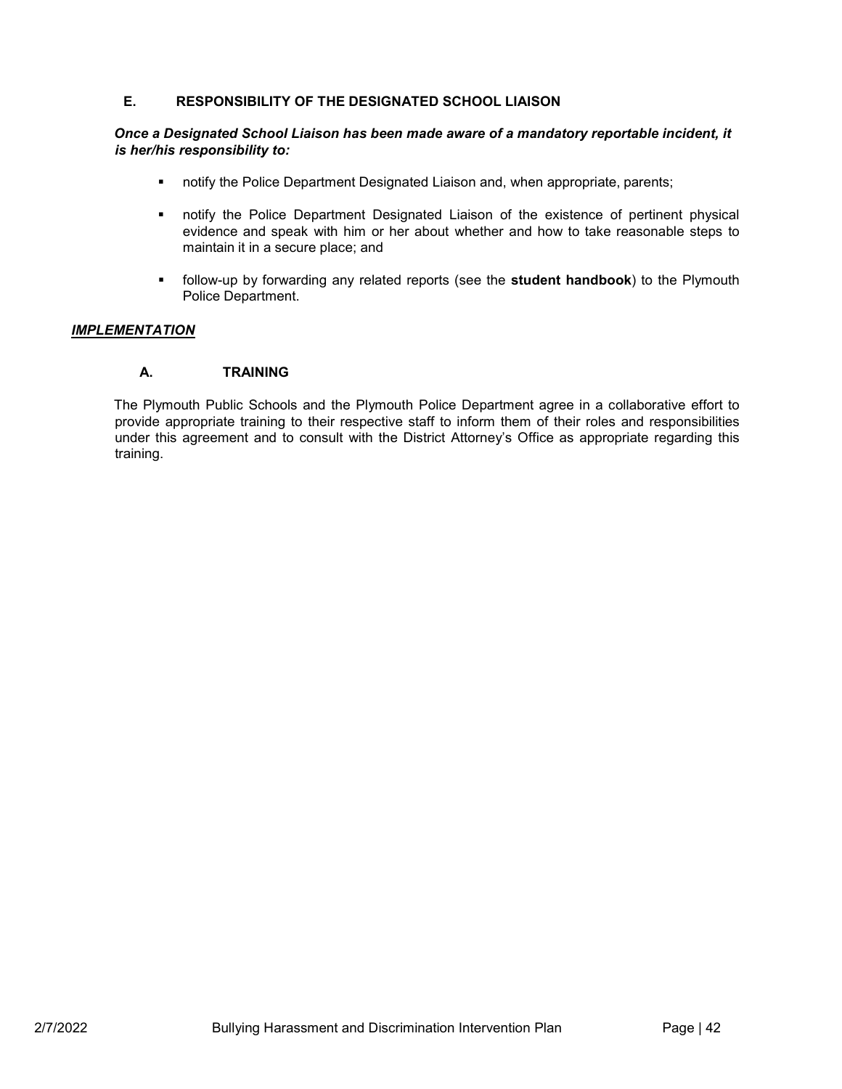#### **E. RESPONSIBILITY OF THE DESIGNATED SCHOOL LIAISON**

#### *Once a Designated School Liaison has been made aware of a mandatory reportable incident, it is her/his responsibility to:*

- notify the Police Department Designated Liaison and, when appropriate, parents;
- notify the Police Department Designated Liaison of the existence of pertinent physical evidence and speak with him or her about whether and how to take reasonable steps to maintain it in a secure place; and
- follow-up by forwarding any related reports (see the **student handbook**) to the Plymouth Police Department.

#### <span id="page-41-0"></span>*IMPLEMENTATION*

#### **A. TRAINING**

<span id="page-41-1"></span>The Plymouth Public Schools and the Plymouth Police Department agree in a collaborative effort to provide appropriate training to their respective staff to inform them of their roles and responsibilities under this agreement and to consult with the District Attorney's Office as appropriate regarding this training.